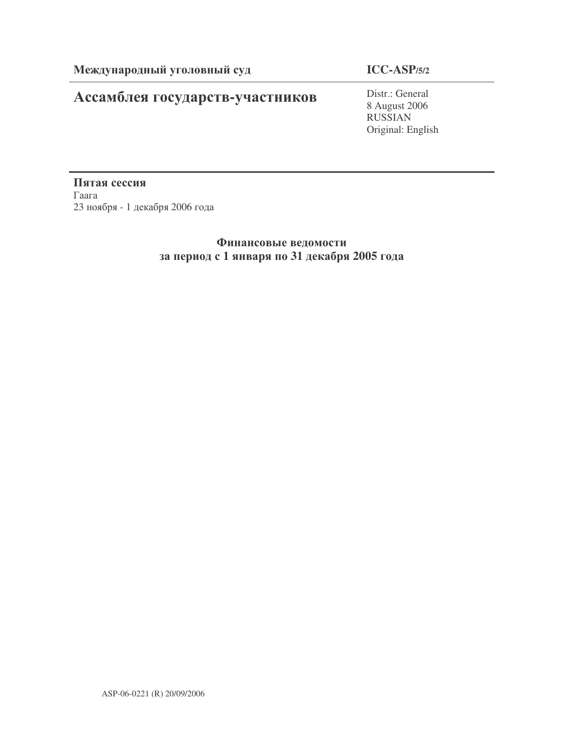# Ассамблея государств-участников

**ICC-ASP/5/2**

Distr.: General 8 August 2006 RUSSIAN Original: English

Пятая сессия  $\Gamma$ aara 23 ноября - 1 декабря 2006 года

## Финансовые ведомости за период с 1 января по 31 декабря 2005 года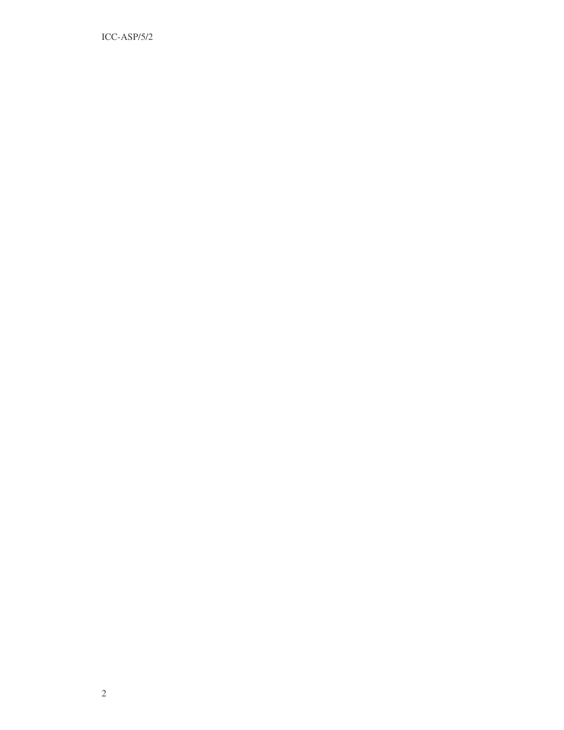ICC-ASP/5/2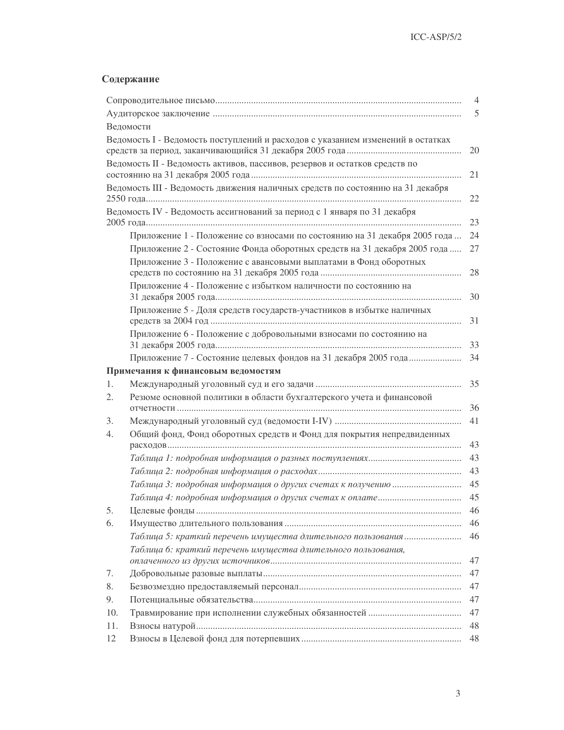## Содержание

|     |                                                                                 | $\overline{4}$ |
|-----|---------------------------------------------------------------------------------|----------------|
|     |                                                                                 | $\mathfrak s$  |
|     | Ведомости                                                                       |                |
|     | Ведомость I - Ведомость поступлений и расходов с указанием изменений в остатках | 20             |
|     | Ведомость II - Ведомость активов, пассивов, резервов и остатков средств по      | 21             |
|     | Ведомость III - Ведомость движения наличных средств по состоянию на 31 декабря  | 22             |
|     | Ведомость IV - Ведомость ассигнований за период с 1 января по 31 декабря        | 23             |
|     | Приложение 1 - Положение со взносами по состоянию на 31 декабря 2005 года       | 24             |
|     | Приложение 2 - Состояние Фонда оборотных средств на 31 декабря 2005 года        | 27             |
|     | Приложение 3 - Положение с авансовыми выплатами в Фонд оборотных                | 28             |
|     | Приложение 4 - Положение с избытком наличности по состоянию на                  | 30             |
|     | Приложение 5 - Доля средств государств-участников в избытке наличных            | 31             |
|     | Приложение 6 - Положение с добровольными взносами по состоянию на               | 33             |
|     |                                                                                 | 34             |
|     | Примечания к финансовым ведомостям                                              |                |
| 1.  |                                                                                 | 35             |
| 2.  | Резюме основной политики в области бухгалтерского учета и финансовой            | 36             |
| 3.  |                                                                                 | 41             |
| 4.  | Общий фонд, Фонд оборотных средств и Фонд для покрытия непредвиденных           | 43             |
|     |                                                                                 | 43             |
|     |                                                                                 | 43             |
|     |                                                                                 | 45             |
|     |                                                                                 | 45             |
| 5.  |                                                                                 | 46             |
| 6.  |                                                                                 | 46             |
|     | Таблица 5: краткий перечень имущества длительного пользования                   | 46             |
|     | Таблица 6: краткий перечень имущества длительного пользования,                  |                |
|     |                                                                                 | 47             |
| 7.  |                                                                                 | 47             |
| 8.  |                                                                                 | 47             |
| 9.  |                                                                                 | 47             |
| 10. |                                                                                 | 47             |
| 11. |                                                                                 | 48             |
| 12  |                                                                                 | 48             |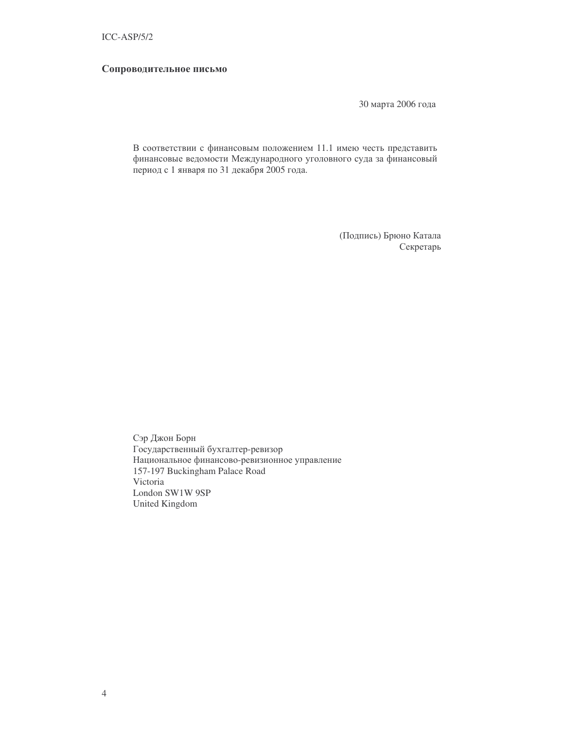### Сопроводительное письмо

30 марта 2006 года

В соответствии с финансовым положением 11.1 имею честь представить финансовые ведомости Международного уголовного суда за финансовый период с 1 января по 31 декабря 2005 года.

> (Подпись) Брюно Катала Секретарь

Сэр Джон Борн Государственный бухгалтер-ревизор Национальное финансово-ревизионное управление 157-197 Buckingham Palace Road Victoria London SW1W 9SP United Kingdom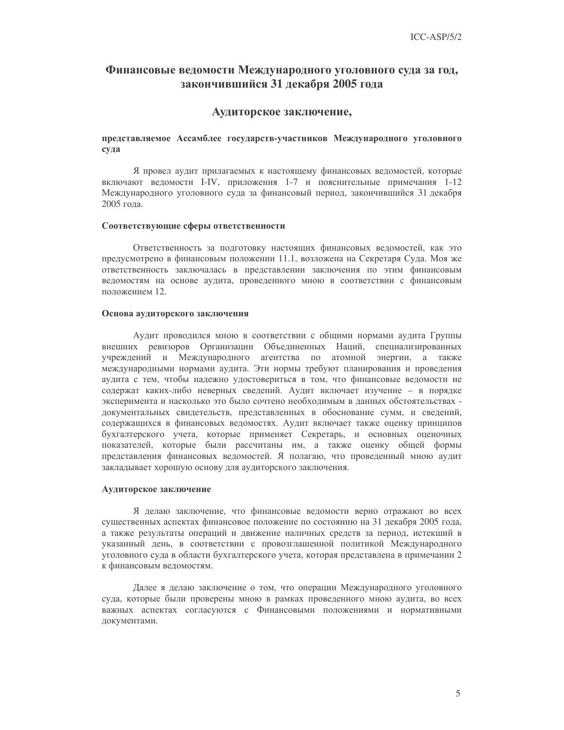## Финансовые ведомости Международного уголовного суда за год, закончившийся 31 декабря 2005 года

#### Аудиторское заключение.

#### представляемое Ассамблее государств-участников Международного уголовного суда

Я провел аудит прилагаемых к настоящему финансовых ведомостей, которые включают ведомости I-IV, приложения 1-7 и пояснительные примечания 1-12 Международного уголовного суда за финансовый период, закончившийся 31 декабря 2005 года.

#### Соответствующие сферы ответственности

Ответственность за подготовку настоящих финансовых ведомостей, как это предусмотрено в финансовым положении 11.1, возложена на Секретаря Суда. Моя же ответственность заключалась в представлении заключения по этим финансовым ведомостям на основе аудита, проведенного мною в соответствии с финансовым положением 12.

#### Основа аудиторского заключения

Аудит проводился мною в соответствии с общими нормами аудита Группы внешних ревизоров Организации Объединенных Наций, специализированных учреждений и Международного агентства по атомной энергии, а также международными нормами аудита. Эти нормы требуют планирования и проведения аудита с тем, чтобы надежно удостовериться в том, что финансовые ведомости не содержат каких-либо неверных сведений. Аудит включает изучение - в порядке эксперимента и насколько это было сочтено необходимым в данных обстоятельствах документальных свидетельств, представленных в обоснование сумм, и сведений, содержащихся в финансовых ведомостях. Аудит включает также оценку принципов бухгалтерского учета, которые применяет Секретарь, и основных оценочных показателей, которые были рассчитаны им, а также оценку общей формы представления финансовых ведомостей. Я полагаю, что проведенный мною аудит закладывает хорошую основу для аудиторского заключения.

#### Аудиторское заключение

Я делаю заключение, что финансовые ведомости верно отражают во всех существенных аспектах финансовое положение по состоянию на 31 декабря 2005 года, а также результаты операций и движение наличных средств за период, истекший в указанный день, в соответствии с провозглашенной политикой Международного уголовного суда в области бухгалтерского учета, которая представлена в примечании 2 к финансовым ведомостям.

Далее я делаю заключение о том, что операции Международного уголовного суда, которые были проверены мною в рамках проведенного мною аудита, во всех важных аспектах согласуются с Финансовыми положениями и нормативными документами.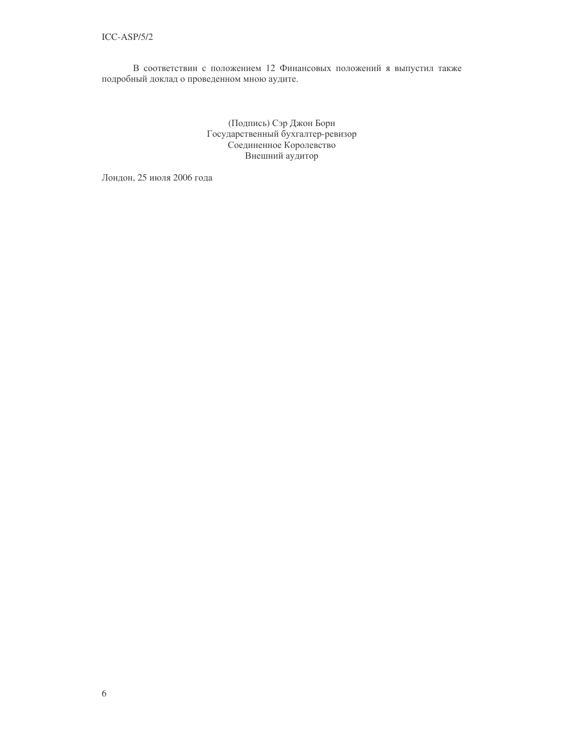В соответствии с положением 12 Финансовых положений я выпустил также подробный доклад о проведенном мною аудите.

> (Подпись) Сэр Джон Борн Государственный бухгалтер-ревизор Соединенное Королевство Внешний аудитор

Лондон, 25 июля 2006 года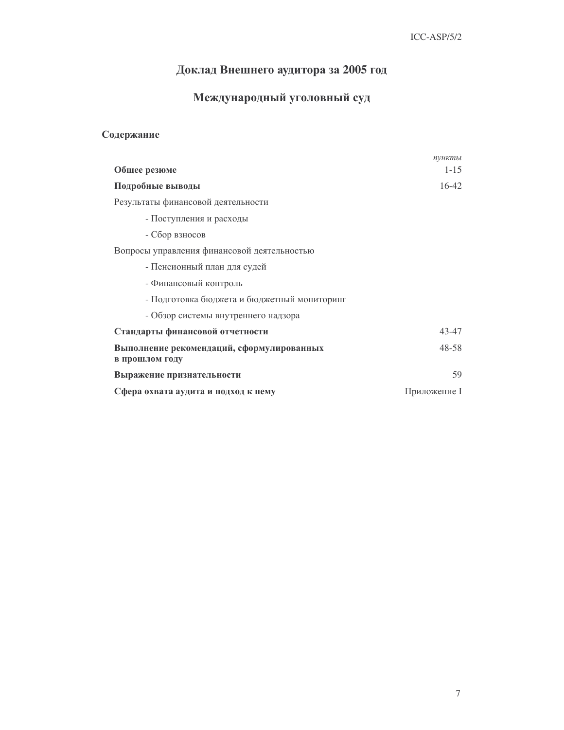# Доклад Внешнего аудитора за 2005 год

# Международный уголовный суд

## Содержание

|                                                             | пункты       |
|-------------------------------------------------------------|--------------|
| Общее резюме                                                | $1 - 15$     |
| Подробные выводы                                            | $16-42$      |
| Результаты финансовой деятельности                          |              |
| - Поступления и расходы                                     |              |
| - Сбор взносов                                              |              |
| Вопросы управления финансовой деятельностью                 |              |
| - Пенсионный план для судей                                 |              |
| - Финансовый контроль                                       |              |
| - Подготовка бюджета и бюджетный мониторинг                 |              |
| - Обзор системы внутреннего надзора                         |              |
| Стандарты финансовой отчетности                             | 43-47        |
| Выполнение рекомендаций, сформулированных<br>в прошлом году | 48-58        |
| Выражение признательности                                   | 59           |
| Сфера охвата аудита и подход к нему                         | Приложение I |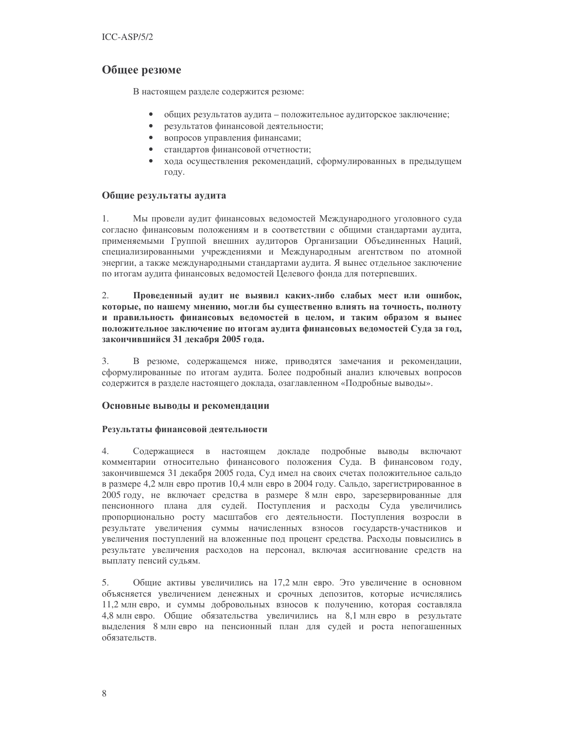## Общее резюме

В настоящем разделе содержится резюме:

- общих результатов аудита положительное аудиторское заключение;
- результатов финансовой деятельности;  $\bullet$
- $\bullet$ вопросов управления финансами;
- $\bullet$ стандартов финансовой отчетности;
- хода осуществления рекомендаций, сформулированных в предыдущем году.

### Общие результаты аудита

1. Мы провели аудит финансовых ведомостей Международного уголовного суда согласно финансовым положениям и в соответствии с общими стандартами аудита, применяемыми Группой внешних аудиторов Организации Объединенных Наций, специализированными учреждениями и Международным агентством по атомной энергии, а также международными стандартами аудита. Я вынес отдельное заключение по итогам аудита финансовых ведомостей Целевого фонда для потерпевших.

#### 2. Проведенный аудит не выявил каких-либо слабых мест или ошибок, которые, по нашему мнению, могли бы существенно влиять на точность, полноту и правильность финансовых ведомостей в целом, и таким образом я вынес положительное заключение по итогам аудита финансовых ведомостей Суда за год, закончившийся 31 декабря 2005 года.

3. В резюме, содержащемся ниже, приводятся замечания и рекомендации, сформулированные по итогам аудита. Более подробный анализ ключевых вопросов содержится в разделе настоящего доклада, озаглавленном «Подробные выводы».

### Основные выводы и рекомендации

#### Результаты финансовой деятельности

 $4.$ Содержащиеся в настоящем докладе подробные выводы включают комментарии относительно финансового положения Суда. В финансовом году, закончившемся 31 декабря 2005 года, Суд имел на своих счетах положительное сальдо в размере 4,2 млн евро против 10,4 млн евро в 2004 году. Сальдо, зарегистрированное в 2005 году, не включает средства в размере 8 млн евро, зарезервированные для пенсионного плана для судей. Поступления и расходы Суда увеличились пропорционально росту масштабов его деятельности. Поступления возросли в результате увеличения суммы начисленных взносов государств-участников и увеличения поступлений на вложенные под процент средства. Расходы повысились в результате увеличения расходов на персонал, включая ассигнование средств на выплату пенсий судьям.

Общие активы увеличились на 17,2 млн евро. Это увеличение в основном 5. объясняется увеличением денежных и срочных депозитов, которые исчислялись 11,2 млн евро, и суммы добровольных взносов к получению, которая составляла 4,8 млн евро. Общие обязательства увеличились на 8,1 млн евро в результате выделения 8 млн евро на пенсионный план для судей и роста непогашенных обязательств.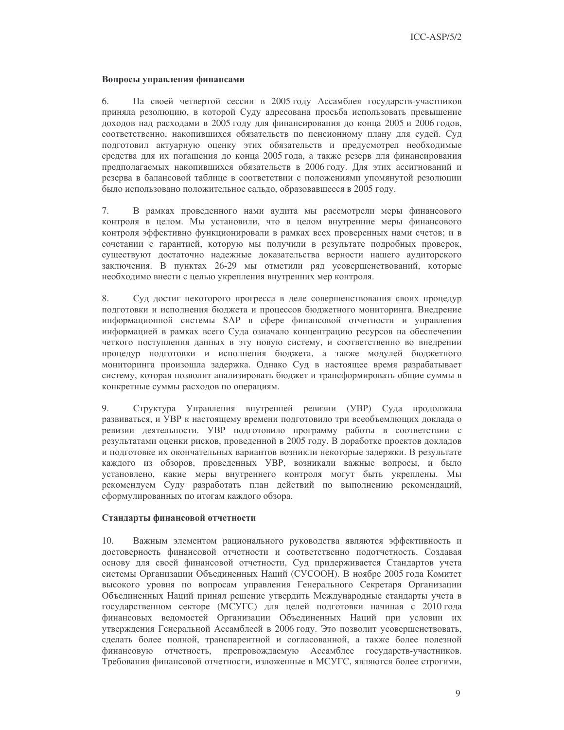#### Вопросы управления финансами

На своей четвертой сессии в 2005 году Ассамблея государств-участников 6. приняла резолюцию, в которой Суду адресована просьба использовать превышение доходов над расходами в 2005 году для финансирования до конца 2005 и 2006 годов, соответственно, накопившихся обязательств по пенсионному плану для судей. Суд подготовил актуарную оценку этих обязательств и предусмотрел необходимые средства для их погашения до конца 2005 года, а также резерв для финансирования предполагаемых накопившихся обязательств в 2006 году. Для этих ассигнований и резерва в балансовой таблице в соответствии с положениями упомянутой резолюции было использовано положительное сальдо, образовавшееся в 2005 году.

7. В рамках проведенного нами аудита мы рассмотрели меры финансового контроля в целом. Мы установили, что в целом внутренние меры финансового контроля эффективно функционировали в рамках всех проверенных нами счетов; и в сочетании с гарантией, которую мы получили в результате подробных проверок, существуют достаточно надежные доказательства верности нашего аудиторского заключения. В пунктах 26-29 мы отметили ряд усовершенствований, которые необходимо внести с целью укрепления внутренних мер контроля.

8. Суд достиг некоторого прогресса в деле совершенствования своих процедур подготовки и исполнения бюджета и процессов бюджетного мониторинга. Внедрение информационной системы SAP в сфере финансовой отчетности и управления информацией в рамках всего Суда означало концентрацию ресурсов на обеспечении четкого поступления данных в эту новую систему, и соответственно во внедрении процедур подготовки и исполнения бюджета, а также модулей бюджетного мониторинга произошла задержка. Однако Суд в настоящее время разрабатывает систему, которая позволит анализировать бюджет и трансформировать общие суммы в конкретные суммы расходов по операциям.

9. Структура Управления внутренней ревизии (УВР) Суда продолжала развиваться, и УВР к настоящему времени подготовило три всеобъемлющих доклада о ревизии деятельности. УВР подготовило программу работы в соответствии с результатами оценки рисков, проведенной в 2005 году. В доработке проектов докладов и подготовке их окончательных вариантов возникли некоторые задержки. В результате каждого из обзоров, проведенных УВР, возникали важные вопросы, и было установлено, какие меры внутреннего контроля могут быть укреплены. Мы рекомендуем Суду разработать план действий по выполнению рекомендаций, сформулированных по итогам каждого обзора.

#### Стандарты финансовой отчетности

 $10<sub>1</sub>$ Важным элементом рационального руководства являются эффективность и достоверность финансовой отчетности и соответственно подотчетность. Создавая основу для своей финансовой отчетности, Суд придерживается Стандартов учета системы Организации Объединенных Наций (СУСООН). В ноябре 2005 года Комитет высокого уровня по вопросам управления Генерального Секретаря Организации Объединенных Наций принял решение утвердить Международные стандарты учета в государственном секторе (МСУГС) для целей подготовки начиная с 2010 года финансовых ведомостей Организации Объединенных Наций при условии их утверждения Генеральной Ассамблеей в 2006 году. Это позволит усовершенствовать, сделать более полной, транспарентной и согласованной, а также более полезной финансовую отчетность, препровождаемую Ассамблее государств-участников. Требования финансовой отчетности, изложенные в МСУГС, являются более строгими,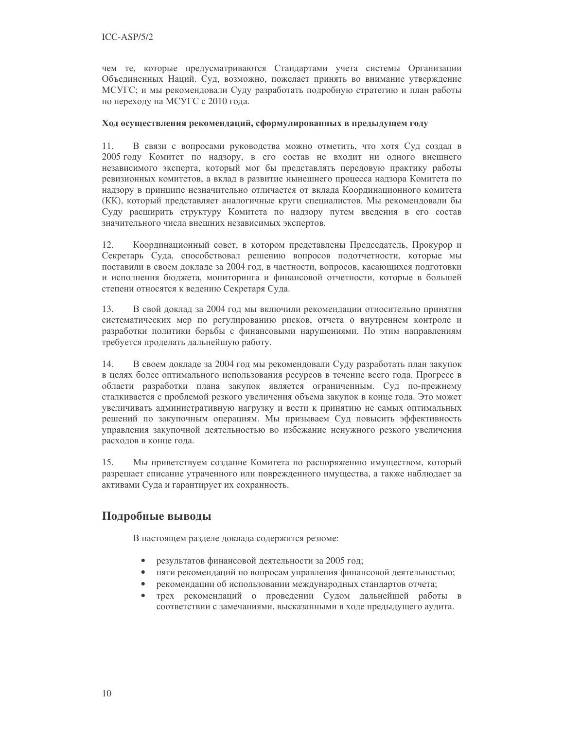чем те, которые предусматриваются Стандартами учета системы Организации Объединенных Наций. Суд, возможно, пожелает принять во внимание утверждение МСУГС; и мы рекомендовали Суду разработать подробную стратегию и план работы по переходу на МСУГС с 2010 года.

### Ход осуществления рекомендаций, сформулированных в предыдущем году

11. В связи с вопросами руководства можно отметить, что хотя Суд создал в 2005 году Комитет по надзору, в его состав не входит ни одного внешнего независимого эксперта, который мог бы представлять передовую практику работы ревизионных комитетов, а вклад в развитие нынешнего процесса надзора Комитета по надзору в принципе незначительно отличается от вклада Координационного комитета (КК), который представляет аналогичные круги специалистов. Мы рекомендовали бы Суду расширить структуру Комитета по надзору путем введения в его состав значительного числа внешних независимых экспертов.

 $12.$ Координационный совет, в котором представлены Председатель, Прокурор и Секретарь Суда, способствовал решению вопросов подотчетности, которые мы поставили в своем докладе за 2004 год, в частности, вопросов, касающихся подготовки и исполнения бюджета, мониторинга и финансовой отчетности, которые в большей степени относятся к ведению Секретаря Суда.

13. В свой доклад за 2004 год мы включили рекомендации относительно принятия систематических мер по регулированию рисков, отчета о внутреннем контроле и разработки политики борьбы с финансовыми нарушениями. По этим направлениям требуется проделать дальнейшую работу.

14. В своем докладе за 2004 год мы рекомендовали Суду разработать план закупок в целях более оптимального использования ресурсов в течение всего года. Прогресс в области разработки плана закупок является ограниченным. Суд по-прежнему сталкивается с проблемой резкого увеличения объема закупок в конце года. Это может увеличивать административную нагрузку и вести к принятию не самых оптимальных решений по закупочным операциям. Мы призываем Суд повысить эффективность управления закупочной деятельностью во избежание ненужного резкого увеличения расходов в конце года.

15. Мы приветствуем создание Комитета по распоряжению имуществом, который разрешает списание утраченного или поврежденного имущества, а также наблюдает за активами Суда и гарантирует их сохранность.

## Подробные выводы

В настоящем разделе доклада содержится резюме:

- результатов финансовой деятельности за 2005 год;
- пяти рекомендаций по вопросам управления финансовой деятельностью;
- рекомендации об использовании международных стандартов отчета;
- $\bullet$ трех рекомендаций о проведении Судом дальнейшей работы в соответствии с замечаниями, высказанными в ходе предыдущего аудита.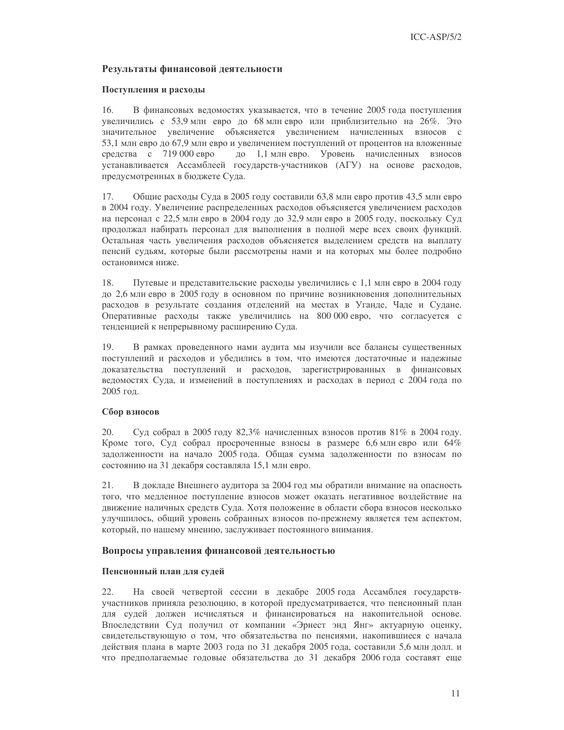## Результаты финансовой деятельности

### Поступления и расходы

16. В финансовых ведомостях указывается, что в течение 2005 года поступления увеличились с 53,9 млн евро до 68 млневро или приблизительно на 26%. Это значительное увеличение объясняется увеличением начисленных взносов с 53,1 млн евро до 67,9 млн евро и увеличением поступлений от процентов на вложенные средства с 719 000 е вро до 1,1 млневро. Уровень начисленных взносов устанавливается Ассамблеей государств-участников (АГУ) на основе расходов, предусмотренных в бюджете Суда.

17. Общие расходы Суда в 2005 году составили 63,8 млн евро против 43,5 млн евро в 2004 году. Увеличение распределенных расходов объясняется увеличением расходов на персонал с 22,5 млн евро в 2004 году до 32,9 млн евро в 2005 году, поскольку Суд продолжал набирать персонал для выполнения в полной мере всех своих функций. Остальная часть увеличения расходов объясняется выделением средств на выплату пенсий судьям, которые были рассмотрены нами и на которых мы более подробно остановимся ниже.

18. Путевые и представительские расходы увеличились с 1,1 млн евро в 2004 году до 2,6 млн евро в 2005 году в основном по причине возникновения дополнительных расходов в результате создания отделений на местах в Уганде, Чаде и Судане. Оперативные расходы также увеличились на 800 000 евро, что согласуется с тенденцией к непрерывному расширению Суда.

19. В рамках проведенного нами аудита мы изучили все балансы существенных поступлений и расходов и убедились в том, что имеются достаточные и надежные доказательства поступлений и расходов, зарегистрированных в финансовых ведомостях Суда, и изменений в поступлениях и расходах в период с 2004 года по 2005 год.

### Сбор взносов

20. Суд собрал в 2005 году 82,3% начисленных взносов против 81% в 2004 году. Кроме того, Суд собрал просроченные взносы в размере 6,6 млневро или 64% задолженности на начало 2005 года. Общая сумма задолженности по взносам по состоянию на 31 декабря составляла 15,1 млн евро.

21. В докладе Внешнего аудитора за 2004 год мы обратили внимание на опасность того, что медленное поступление взносов может оказать негативное воздействие на движение наличных средств Суда. Хотя положение в области сбора взносов несколько улучшилось, общий уровень собранных взносов по-прежнему является тем аспектом, который, по нашему мнению, заслуживает постоянного внимания.

### Вопросы управления финансовой деятельностью

#### Пенсионный план для судей

22. На своей четвертой сессии в декабре 2005 года Ассамблея государствучастников приняла резолюцию, в которой предусматривается, что пенсионный план для судей должен исчисляться и финансироваться на накопительной основе. Впоследствии Суд получил от компании «Эрнест энд Янг» актуарную оценку, свидетельствующую о том, что обязательства по пенсиями, накопившиеся с начала действия плана в марте 2003 года по 31 декабря 2005 года, составили 5,6 млн долл. и что предполагаемые годовые обязательства до 31 декабря 2006 года составят еще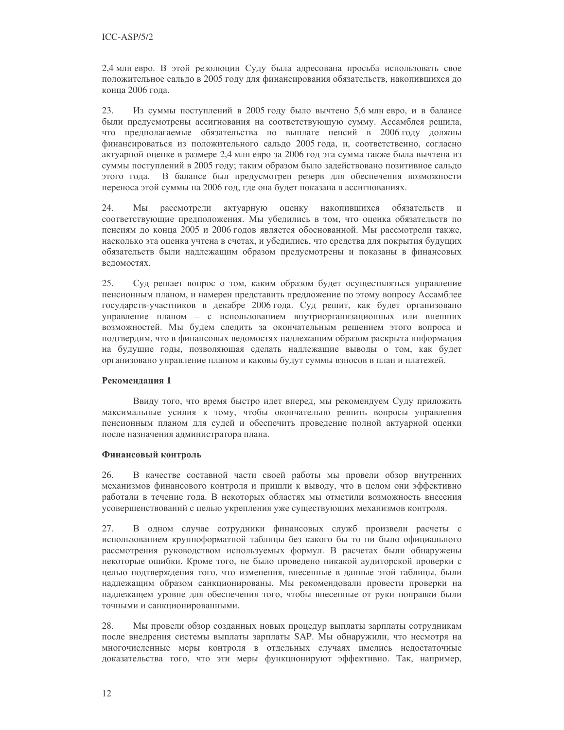2,4 млн евро. В этой резолюции Суду была адресована просьба использовать свое положительное сальдо в 2005 году для финансирования обязательств, накопившихся до конца 2006 года.

23. Из суммы поступлений в 2005 году было вычтено 5,6 млн евро, и в балансе были предусмотрены ассигнования на соответствующую сумму. Ассамблея решила, что предполагаемые обязательства по выплате пенсий в 2006 году должны финансироваться из положительного сальдо 2005 года, и, соответственно, согласно актуарной оценке в размере 2,4 млн евро за 2006 год эта сумма также была вычтена из суммы поступлений в 2005 году; таким образом было задействовано позитивное сальдо В балансе был предусмотрен резерв для обеспечения возможности этого года. переноса этой суммы на 2006 год, где она будет показана в ассигнованиях.

24. Мы рассмотрели актуарную оценку накопившихся обязательств и соответствующие предположения. Мы убедились в том, что оценка обязательств по пенсиям до конца 2005 и 2006 годов является обоснованной. Мы рассмотрели также, насколько эта оценка учтена в счетах, и убедились, что средства для покрытия будущих обязательств были надлежащим образом предусмотрены и показаны в финансовых ведомостях.

25. Суд решает вопрос о том, каким образом будет осуществляться управление пенсионным планом, и намерен представить предложение по этому вопросу Ассамблее государств-участников в декабре 2006 года. Суд решит, как будет организовано управление планом - с использованием внутриорганизационных или внешних возможностей. Мы будем следить за окончательным решением этого вопроса и подтвердим, что в финансовых ведомостях надлежащим образом раскрыта информация на будущие годы, позволяющая сделать надлежащие выводы о том, как будет организовано управление планом и каковы будут суммы взносов в план и платежей.

### Рекомендация 1

Ввиду того, что время быстро идет вперед, мы рекомендуем Суду приложить максимальные усилия к тому, чтобы окончательно решить вопросы управления пенсионным планом для судей и обеспечить проведение полной актуарной оценки после назначения администратора плана.

#### Финансовый контроль

26. В качестве составной части своей работы мы провели обзор внутренних механизмов финансового контроля и пришли к выводу, что в целом они эффективно работали в течение года. В некоторых областях мы отметили возможность внесения усовершенствований с целью укрепления уже существующих механизмов контроля.

27. В одном случае сотрудники финансовых служб произвели расчеты с использованием крупноформатной таблицы без какого бы то ни было официального рассмотрения руководством используемых формул. В расчетах были обнаружены некоторые ошибки. Кроме того, не было проведено никакой аудиторской проверки с целью подтверждения того, что изменения, внесенные в данные этой таблицы, были надлежащим образом санкционированы. Мы рекомендовали провести проверки на надлежащем уровне для обеспечения того, чтобы внесенные от руки поправки были точными и санкционированными.

28. Мы провели обзор созданных новых процедур выплаты зарплаты сотрудникам после внедрения системы выплаты зарплаты SAP. Мы обнаружили, что несмотря на многочисленные меры контроля в отдельных случаях имелись недостаточные доказательства того, что эти меры функционируют эффективно. Так, например,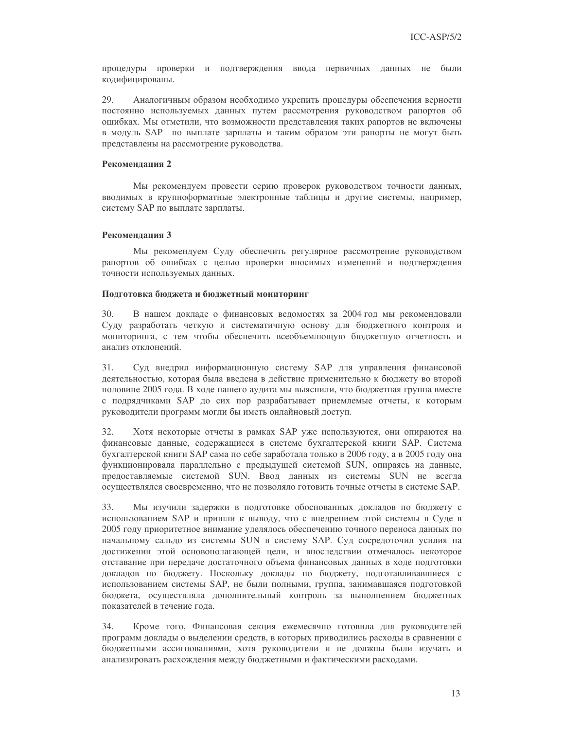процедуры проверки и подтверждения ввода первичных данных не были кодифицированы.

29. Аналогичным образом необходимо укрепить процедуры обеспечения верности постоянно используемых данных путем рассмотрения руководством рапортов об ошибках. Мы отметили, что возможности представления таких рапортов не включены в модуль SAP по выплате зарплаты и таким образом эти рапорты не могут быть представлены на рассмотрение руководства.

#### Рекомендация 2

Мы рекомендуем провести серию проверок руководством точности данных, вводимых в крупноформатные электронные таблицы и другие системы, например, систему SAP по выплате зарплаты.

#### Рекомендация 3

Мы рекомендуем Суду обеспечить регулярное рассмотрение руководством рапортов об ошибках с целью проверки вносимых изменений и подтверждения точности используемых данных.

#### Подготовка бюджета и бюджетный мониторинг

В нашем докладе о финансовых ведомостях за 2004 год мы рекомендовали 30. Суду разработать четкую и систематичную основу для бюджетного контроля и мониторинга, с тем чтобы обеспечить всеобъемлющую бюджетную отчетность и анализ отклонений.

 $31.$ Суд внедрил информационную систему SAP для управления финансовой деятельностью, которая была введена в действие применительно к бюджету во второй половине 2005 года. В ходе нашего аудита мы выяснили, что бюджетная группа вместе с подрядчиками SAP до сих пор разрабатывает приемлемые отчеты, к которым руководители программ могли бы иметь онлайновый доступ.

32. Хотя некоторые отчеты в рамках SAP уже используются, они опираются на финансовые данные, содержащиеся в системе бухгалтерской книги SAP. Система бухгалтерской книги SAP сама по себе заработала только в 2006 году, а в 2005 году она функционировала параллельно с предыдущей системой SUN, опираясь на данные, предоставляемые системой SUN. Ввод данных из системы SUN не всегда осуществлялся своевременно, что не позволяло готовить точные отчеты в системе SAP.

 $33$ Мы изучили задержки в подготовке обоснованных докладов по бюджету с использованием SAP и пришли к выводу, что с внедрением этой системы в Суде в 2005 году приоритетное внимание уделялось обеспечению точного переноса данных по начальному сальдо из системы SUN в систему SAP. Суд сосредоточил усилия на достижении этой основополагающей цели, и впоследствии отмечалось некоторое отставание при передаче достаточного объема финансовых данных в ходе подготовки докладов по бюджету. Поскольку доклады по бюджету, подготавливавшиеся с использованием системы SAP, не были полными, группа, занимавшаяся подготовкой бюджета, осуществляла дополнительный контроль за выполнением бюджетных показателей в течение гола.

 $34.$ Кроме того, Финансовая секция ежемесячно готовила для руководителей программ доклады о выделении средств, в которых приводились расходы в сравнении с бюджетными ассигнованиями, хотя руководители и не должны были изучать и анализировать расхождения между бюджетными и фактическими расходами.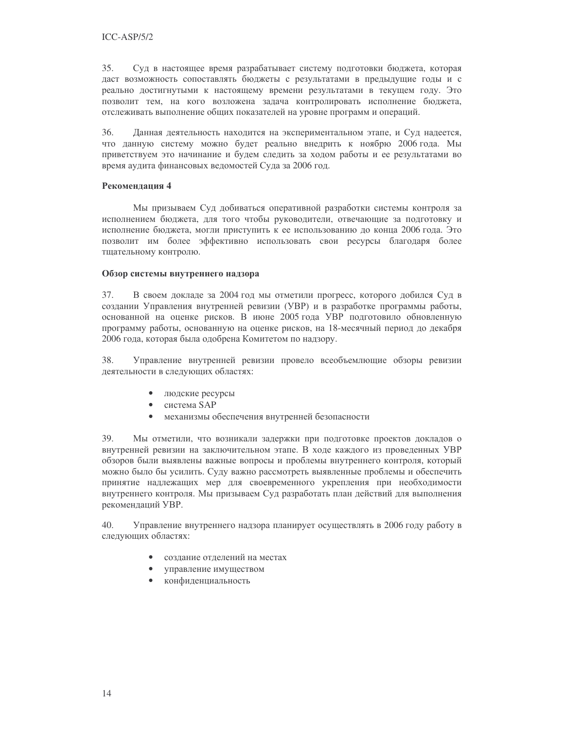35. Суд в настоящее время разрабатывает систему подготовки бюджета, которая даст возможность сопоставлять бюджеты с результатами в предыдущие годы и с реально достигнутыми к настоящему времени результатами в текущем году. Это позволит тем, на кого возложена задача контролировать исполнение бюджета, отслеживать выполнение общих показателей на уровне программ и операций.

36. Данная деятельность находится на экспериментальном этапе, и Суд надеется, что данную систему можно будет реально внедрить к ноябрю 2006 года. Мы приветствуем это начинание и будем следить за ходом работы и ее результатами во время аудита финансовых ведомостей Суда за 2006 год.

#### Рекомендация 4

Мы призываем Суд добиваться оперативной разработки системы контроля за исполнением бюджета, для того чтобы руководители, отвечающие за подготовку и исполнение бюджета, могли приступить к ее использованию до конца 2006 года. Это позволит им более эффективно использовать свои ресурсы благодаря более тщательному контролю.

#### Обзор системы внутреннего надзора

37. В своем докладе за 2004 год мы отметили прогресс, которого добился Суд в создании Управления внутренней ревизии (УВР) и в разработке программы работы, основанной на оценке рисков. В июне 2005 года УВР подготовило обновленную программу работы, основанную на оценке рисков, на 18-месячный период до декабря 2006 года, которая была одобрена Комитетом по надзору.

38. Управление внутренней ревизии провело всеобъемлющие обзоры ревизии деятельности в следующих областях:

- $\bullet$ людские ресурсы
- $\bullet$ система SAP
- механизмы обеспечения внутренней безопасности

39. Мы отметили, что возникали задержки при подготовке проектов докладов о внутренней ревизии на заключительном этапе. В ходе каждого из проведенных УВР обзоров были выявлены важные вопросы и проблемы внутреннего контроля, который можно было бы усилить. Суду важно рассмотреть выявленные проблемы и обеспечить принятие надлежащих мер для своевременного укрепления при необходимости внутреннего контроля. Мы призываем Суд разработать план действий для выполнения рекомендаций УВР.

40. Управление внутреннего надзора планирует осуществлять в 2006 году работу в следующих областях:

- $\bullet$ создание отделений на местах
- управление имуществом  $\bullet$
- конфиденциальность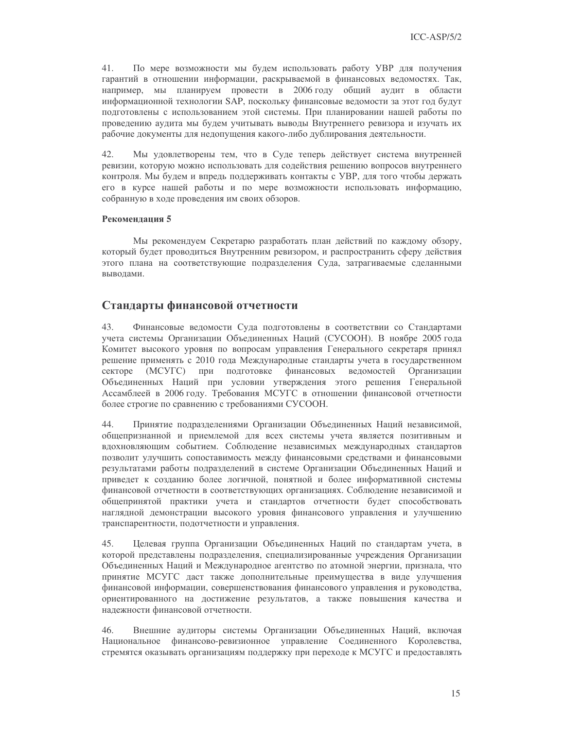$41.$ По мере возможности мы будем использовать работу УВР для получения гарантий в отношении информации, раскрываемой в финансовых ведомостях. Так, например, мы планируем провести в 2006 году общий аудит в области информационной технологии SAP, поскольку финансовые ведомости за этот год будут подготовлены с использованием этой системы. При планировании нашей работы по проведению аудита мы будем учитывать выводы Внутреннего ревизора и изучать их рабочие документы для недопущения какого-либо дублирования деятельности.

42. Мы удовлетворены тем, что в Суде теперь действует система внутренней ревизии, которую можно использовать для содействия решению вопросов внутреннего контроля. Мы будем и впредь поддерживать контакты с УВР, для того чтобы держать его в курсе нашей работы и по мере возможности использовать информацию, собранную в ходе проведения им своих обзоров.

#### Рекомендация 5

Мы рекомендуем Секретарю разработать план действий по каждому обзору, который будет проводиться Внутренним ревизором, и распространить сферу действия этого плана на соответствующие подразделения Суда, затрагиваемые сделанными выводами.

## Стандарты финансовой отчетности

43. Финансовые ведомости Суда подготовлены в соответствии со Стандартами учета системы Организации Объединенных Наций (СУСООН). В ноябре 2005 года Комитет высокого уровня по вопросам управления Генерального секретаря принял решение применять с 2010 года Международные стандарты учета в государственном (МСУГС) при подготовке финансовых ведомостей Организации секторе Объединенных Наций при условии утверждения этого решения Генеральной Ассамблеей в 2006 году. Требования МСУГС в отношении финансовой отчетности более строгие по сравнению с требованиями СУСООН.

44. Принятие подразделениями Организации Объединенных Наций независимой, общепризнанной и приемлемой для всех системы учета является позитивным и вдохновляющим событием. Соблюдение независимых международных стандартов позволит улучшить сопоставимость между финансовыми средствами и финансовыми результатами работы подразделений в системе Организации Объединенных Наций и приведет к созданию более логичной, понятной и более информативной системы финансовой отчетности в соответствующих организациях. Соблюдение независимой и общепринятой практики учета и стандартов отчетности будет способствовать наглядной демонстрации высокого уровня финансового управления и улучшению транспарентности, подотчетности и управления.

45. Целевая группа Организации Объединенных Наций по стандартам учета, в которой представлены подразделения, специализированные учреждения Организации Объединенных Наций и Международное агентство по атомной энергии, признала, что принятие МСУГС даст также дополнительные преимущества в виде улучшения финансовой информации, совершенствования финансового управления и руководства, ориентированного на достижение результатов, а также повышения качества и надежности финансовой отчетности.

46. Внешние аудиторы системы Организации Объединенных Наций, включая Национальное финансово-ревизионное управление Соединенного Королевства, стремятся оказывать организациям поддержку при переходе к МСУГС и предоставлять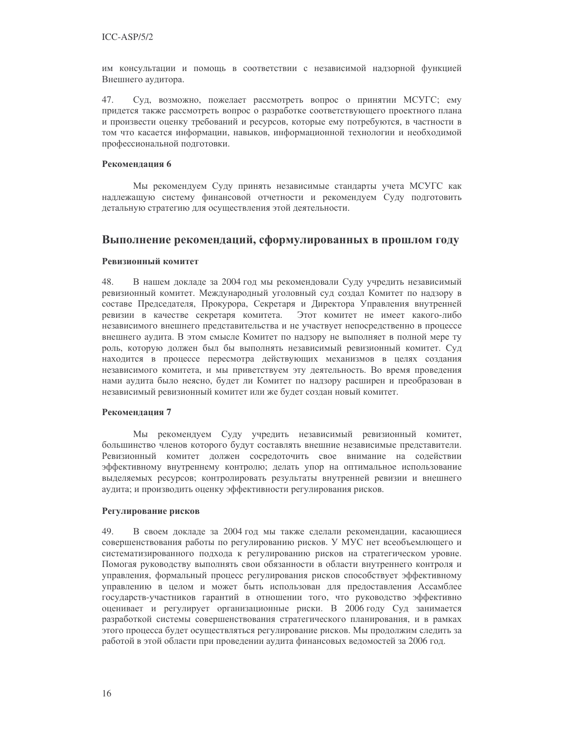им консультации и помощь в соответствии с независимой надзорной функцией Внешнего аудитора.

47. Суд, возможно, пожелает рассмотреть вопрос о принятии МСУГС; ему придется также рассмотреть вопрос о разработке соответствующего проектного плана и произвести оценку требований и ресурсов, которые ему потребуются, в частности в том что касается информации, навыков, информационной технологии и необходимой профессиональной подготовки.

#### Рекомендация 6

Мы рекомендуем Суду принять независимые стандарты учета МСУГС как надлежащую систему финансовой отчетности и рекомендуем Суду подготовить детальную стратегию для осуществления этой деятельности.

### Выполнение рекомендаций, сформулированных в прошлом году

#### Ревизионный комитет

48 В нашем докладе за 2004 год мы рекомендовали Суду учредить независимый ревизионный комитет. Международный уголовный суд создал Комитет по надзору в составе Председателя, Прокурора, Секретаря и Директора Управления внутренней Этот комитет не имеет какого-либо ревизии в качестве секретаря комитета. независимого внешнего представительства и не участвует непосредственно в процессе внешнего аудита. В этом смысле Комитет по надзору не выполняет в полной мере ту роль, которую должен был бы выполнять независимый ревизионный комитет. Суд находится в процессе пересмотра действующих механизмов в целях создания независимого комитета, и мы приветствуем эту деятельность. Во время проведения нами аудита было неясно, будет ли Комитет по надзору расширен и преобразован в независимый ревизионный комитет или же будет создан новый комитет.

### Рекомендация 7

Мы рекомендуем Суду учредить независимый ревизионный комитет, большинство членов которого будут составлять внешние независимые представители. Ревизионный комитет должен сосредоточить свое внимание на содействии эффективному внутреннему контролю; делать упор на оптимальное использование выделяемых ресурсов; контролировать результаты внутренней ревизии и внешнего аудита; и производить оценку эффективности регулирования рисков.

#### Регулирование рисков

49. В своем докладе за 2004 год мы также сделали рекомендации, касающиеся совершенствования работы по регулированию рисков. У МУС нет всеобъемлющего и систематизированного подхода к регулированию рисков на стратегическом уровне. Помогая руководству выполнять свои обязанности в области внутреннего контроля и управления, формальный процесс регулирования рисков способствует эффективному управлению в целом и может быть использован для предоставления Ассамблее государств-участников гарантий в отношении того, что руководство эффективно оценивает и регулирует организационные риски. В 2006 году Суд занимается разработкой системы совершенствования стратегического планирования, и в рамках этого процесса будет осуществляться регулирование рисков. Мы продолжим следить за работой в этой области при проведении аудита финансовых ведомостей за 2006 год.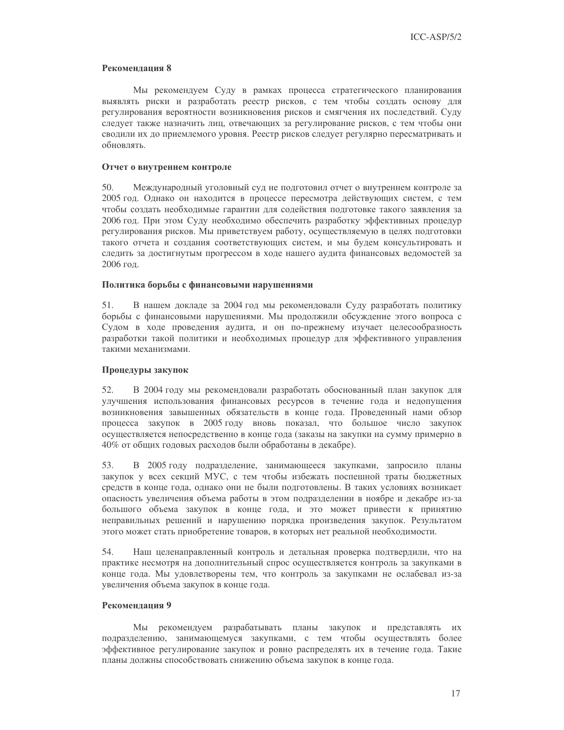#### Рекомендация 8

Мы рекомендуем Суду в рамках процесса стратегического планирования выявлять риски и разработать реестр рисков, с тем чтобы создать основу для регулирования вероятности возникновения рисков и смягчения их последствий. Суду следует также назначить лиц, отвечающих за регулирование рисков, с тем чтобы они сводили их до приемлемого уровня. Реестр рисков следует регулярно пересматривать и обновлять.

#### Отчет о внутреннем контроле

Международный уголовный суд не подготовил отчет о внутреннем контроле за 50. 2005 год. Однако он находится в процессе пересмотра действующих систем, с тем чтобы создать необходимые гарантии для содействия подготовке такого заявления за 2006 год. При этом Суду необходимо обеспечить разработку эффективных процедур регулирования рисков. Мы приветствуем работу, осуществляемую в целях подготовки такого отчета и создания соответствующих систем, и мы будем консультировать и следить за достигнутым прогрессом в ходе нашего аудита финансовых ведомостей за 2006 год.

#### Политика борьбы с финансовыми нарушениями

51. В нашем докладе за 2004 год мы рекомендовали Суду разработать политику борьбы с финансовыми нарушениями. Мы продолжили обсуждение этого вопроса с Судом в ходе проведения аудита, и он по-прежнему изучает целесообразность разработки такой политики и необходимых процедур для эффективного управления такими механизмами.

#### Процедуры закупок

52. В 2004 году мы рекомендовали разработать обоснованный план закупок для улучшения использования финансовых ресурсов в течение года и недопущения возникновения завышенных обязательств в конце года. Проведенный нами обзор процесса закупок в 2005 году вновь показал, что большое число закупок осуществляется непосредственно в конце года (заказы на закупки на сумму примерно в 40% от общих годовых расходов были обработаны в декабре).

В 2005 году подразделение, занимающееся закупками, запросило планы 53. закупок у всех секций МУС, с тем чтобы избежать поспешной траты бюджетных средств в конце года, однако они не были подготовлены. В таких условиях возникает опасность увеличения объема работы в этом подразделении в ноябре и декабре из-за большого объема закупок в конце года, и это может привести к принятию неправильных решений и нарушению порядка произведения закупок. Результатом этого может стать приобретение товаров, в которых нет реальной необходимости.

54. Наш целенаправленный контроль и детальная проверка подтвердили, что на практике несмотря на дополнительный спрос осуществляется контроль за закупками в конце года. Мы удовлетворены тем, что контроль за закупками не ослабевал из-за увеличения объема закупок в конце года.

### Рекомендация 9

Мы рекомендуем разрабатывать планы закупок и представлять их подразделению, занимающемуся закупками, с тем чтобы осуществлять более эффективное регулирование закупок и ровно распределять их в течение года. Такие планы должны способствовать снижению объема закупок в конце года.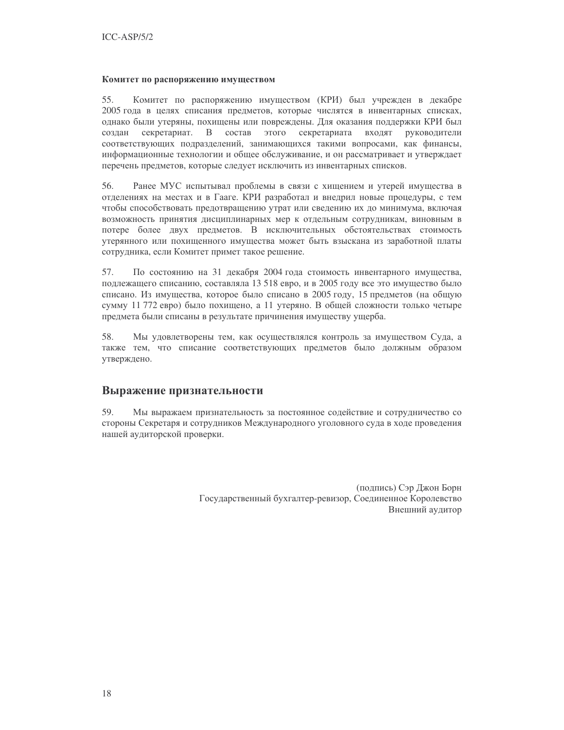#### Комитет по распоряжению имуществом

55. Комитет по распоряжению имуществом (КРИ) был учрежден в декабре 2005 года в целях списания предметов, которые числятся в инвентарных списках, однако были утеряны, похищены или повреждены. Для оказания поддержки КРИ был секретариат. B состав этого секретариата входят создан руководители соответствующих подразделений, занимающихся такими вопросами, как финансы, информационные технологии и общее обслуживание, и он рассматривает и утверждает перечень предметов, которые следует исключить из инвентарных списков.

56. Ранее МУС испытывал проблемы в связи с хищением и утерей имущества в отделениях на местах и в Гааге. КРИ разработал и внедрил новые процедуры, с тем чтобы способствовать предотвращению утрат или сведению их до минимума, включая возможность принятия дисциплинарных мер к отдельным сотрудникам, виновным в потере более двух предметов. В исключительных обстоятельствах стоимость утерянного или похищенного имущества может быть взыскана из заработной платы сотрудника, если Комитет примет такое решение.

57. По состоянию на 31 декабря 2004 года стоимость инвентарного имущества, подлежащего списанию, составляла 13 518 евро, и в 2005 году все это имущество было списано. Из имущества, которое было списано в 2005 году, 15 предметов (на общую сумму 11772 евро) было похищено, а 11 утеряно. В общей сложности только четыре предмета были списаны в результате причинения имуществу ущерба.

58. Мы удовлетворены тем, как осуществлялся контроль за имуществом Суда, а также тем, что списание соответствующих предметов было должным образом утверждено.

### Выражение признательности

59. Мы выражаем признательность за постоянное содействие и сотрудничество со стороны Секретаря и сотрудников Международного уголовного суда в ходе проведения нашей аудиторской проверки.

> (подпись) Сэр Джон Борн Государственный бухгалтер-ревизор, Соединенное Королевство Внешний аудитор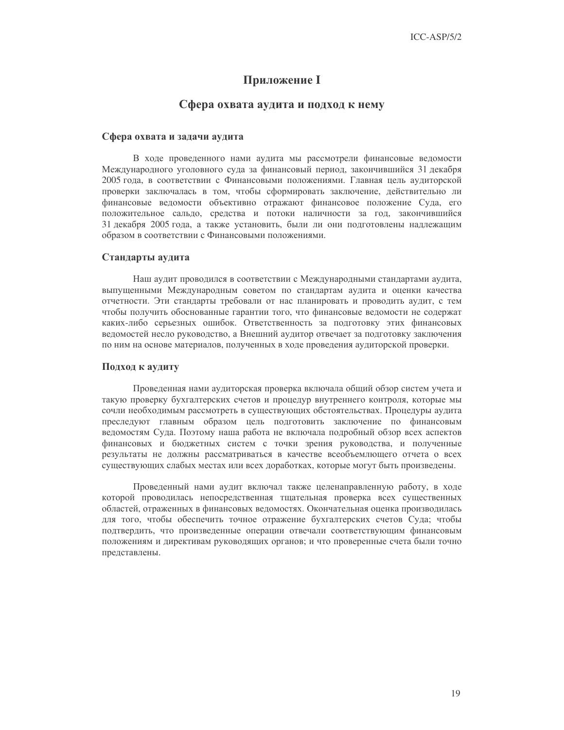#### Сфера охвата аудита и подход к нему

#### Сфера охвата и задачи аудита

В ходе проведенного нами аудита мы рассмотрели финансовые ведомости Международного уголовного суда за финансовый период, закончившийся 31 декабря 2005 года, в соответствии с Финансовыми положениями. Главная цель аудиторской проверки заключалась в том, чтобы сформировать заключение, действительно ли финансовые ведомости объективно отражают финансовое положение Суда, его положительное сальдо, средства и потоки наличности за год, закончившийся 31 декабря 2005 года, а также установить, были ли они подготовлены надлежащим образом в соответствии с Финансовыми положениями.

#### Стандарты аудита

Наш аудит проводился в соответствии с Международными стандартами аудита, выпущенными Международным советом по стандартам аудита и оценки качества отчетности. Эти стандарты требовали от нас планировать и проводить аудит, с тем чтобы получить обоснованные гарантии того, что финансовые ведомости не содержат каких-либо серьезных ошибок. Ответственность за подготовку этих финансовых ведомостей несло руководство, а Внешний аудитор отвечает за подготовку заключения по ним на основе материалов, полученных в ходе проведения аудиторской проверки.

#### Подход к аудиту

Проведенная нами аудиторская проверка включала общий обзор систем учета и такую проверку бухгалтерских счетов и процедур внутреннего контроля, которые мы сочли необходимым рассмотреть в существующих обстоятельствах. Процедуры аудита преследуют главным образом цель подготовить заключение по финансовым ведомостям Суда. Поэтому наша работа не включала подробный обзор всех аспектов финансовых и бюджетных систем с точки зрения руководства, и полученные результаты не должны рассматриваться в качестве всеобъемлющего отчета о всех существующих слабых местах или всех доработках, которые могут быть произведены.

Проведенный нами аудит включал также целенаправленную работу, в ходе которой проводилась непосредственная тщательная проверка всех существенных областей, отраженных в финансовых ведомостях. Окончательная оценка производилась для того, чтобы обеспечить точное отражение бухгалтерских счетов Суда; чтобы подтвердить, что произведенные операции отвечали соответствующим финансовым положениям и директивам руководящих органов; и что проверенные счета были точно представлены.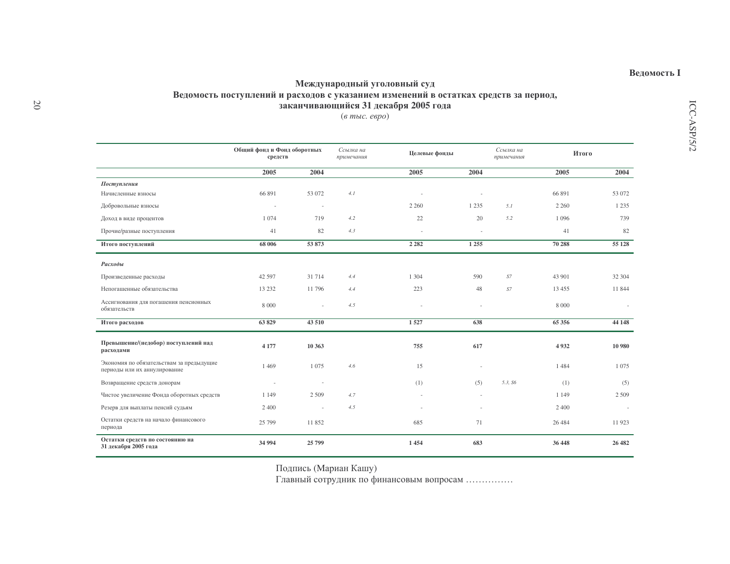### Международный уголовный суд

### Ведомость поступлений и расходов с указанием изменений в остатках средств за период, заканчивающийся 31 декабря 2005 года

 $(\theta$  тыс. евро)

|                                                                          | Общий фонд и Фонд оборотных<br>средств |                          | Ссылка на<br>примечания |                          | Целевые фонды            | Ссылка на<br>примечания |          | Итого                    |
|--------------------------------------------------------------------------|----------------------------------------|--------------------------|-------------------------|--------------------------|--------------------------|-------------------------|----------|--------------------------|
|                                                                          | 2005                                   | 2004                     |                         | 2005                     | 2004                     |                         | 2005     | 2004                     |
| Поступления                                                              |                                        |                          |                         |                          |                          |                         |          |                          |
| Начисленные взносы                                                       | 66 891                                 | 53 072                   | 4.1                     | $\sim$                   | $\overline{\phantom{a}}$ |                         | 66 891   | 53 072                   |
| Добровольные взносы                                                      |                                        | $\overline{\phantom{a}}$ |                         | 2 2 6 0                  | 1 2 3 5                  | 5.1                     | 2 2 6 0  | 1 2 3 5                  |
| Доход в виде процентов                                                   | 1 0 7 4                                | 719                      | 4.2                     | 22                       | 20                       | 5.2                     | 1 0 9 6  | 739                      |
| Прочие/разные поступления                                                | 41                                     | 82                       | 4.3                     | ×.                       |                          |                         | 41       | 82                       |
| Итого поступлений                                                        | 68 006                                 | 53 873                   |                         | 2 2 8 2                  | 1 2 5 5                  |                         | 70 288   | 55 128                   |
| Расходы                                                                  |                                        |                          |                         |                          |                          |                         |          |                          |
| Произведенные расходы                                                    | 42 597                                 | 31 714                   | 4.4                     | 1 3 0 4                  | 590                      | S7                      | 43 901   | 32 304                   |
| Непогашенные обязательства                                               | 13 232                                 | 11796                    | 4.4                     | 223                      | 48                       | S7                      | 13 455   | 11 844                   |
| Ассигнования для погашения пенсионных<br>обязательств                    | 8 0 0 0                                |                          | 4.5                     |                          | $\sim$                   |                         | 8 0 0 0  |                          |
| Итого расходов                                                           | 63 829                                 | 43 510                   |                         | 1527                     | 638                      |                         | 65 35 6  | 44 148                   |
| Превышение/(недобор) поступлений над<br>расходами                        | 4 1 7 7                                | 10 363                   |                         | 755                      | 617                      |                         | 4932     | 10 980                   |
| Экономия по обязательствам за предыдущие<br>периоды или их аннулирование | 1 4 6 9                                | 1 0 7 5                  | 4.6                     | 15                       |                          |                         | 1 4 8 4  | 1 0 7 5                  |
| Возвращение средств донорам                                              | $\sim$                                 | $\overline{\phantom{a}}$ |                         | (1)                      | (5)                      | 5.3, 56                 | (1)      | (5)                      |
| Чистое увеличение Фонда оборотных средств                                | 1 1 4 9                                | 2 5 0 9                  | 4.7                     | ٠                        |                          |                         | 1 1 4 9  | 2 5 0 9                  |
| Резерв для выплаты пенсий судьям                                         | 2 4 0 0                                | $\overline{\phantom{a}}$ | 4.5                     | $\overline{\phantom{a}}$ |                          |                         | 2 4 0 0  | $\overline{\phantom{a}}$ |
| Остатки средств на начало финансового<br>периода                         | 25 799                                 | 11852                    |                         | 685                      | 71                       |                         | 26 4 8 4 | 11 923                   |
| Остатки средств по состоянию на<br>31 декабря 2005 года                  | 34 994                                 | 25 799                   |                         | 1454                     | 683                      |                         | 36 448   | 26 482                   |

Подпись (Мариан Кашу)

Главный сотрудник по финансовым вопросам ................

**Ведомость I**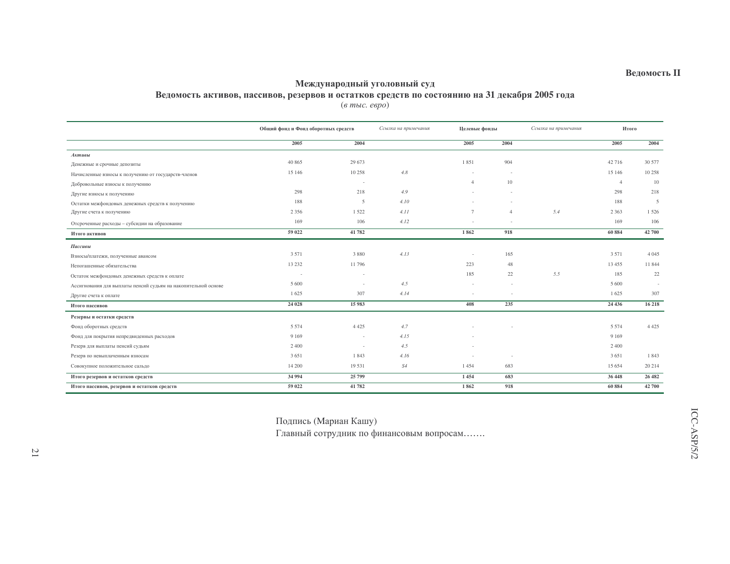### Международный уголовный суд

Ведомость активов, пассивов, резервов и остатков средств по состоянию на 31 декабря 2005 года

 $(\epsilon \text{ muc.} \text{ eepo})$ 

|                                                                | Общий фонд и Фонд оборотных средств |         | Ссылка на примечания | Целевые фонды  |                | Ссылка на примечания | Итого          |         |
|----------------------------------------------------------------|-------------------------------------|---------|----------------------|----------------|----------------|----------------------|----------------|---------|
|                                                                | 2005                                | 2004    |                      | 2005           | 2004           |                      | 2005           | 2004    |
| Активы                                                         |                                     |         |                      |                |                |                      |                |         |
| Денежные и срочные депозиты                                    | 40 865                              | 29 673  |                      | 1851           | 904            |                      | 42 716         | 30 577  |
| Начисленные взносы к получению от государств-членов            | 15 14 6                             | 10 258  | 4.8                  |                |                |                      | 15 146         | 10 258  |
| Добровольные взносы к получению                                |                                     | $\sim$  |                      | $\overline{4}$ | 10             |                      | $\overline{4}$ | 10      |
| Другие взносы к получению                                      | 298                                 | 218     | 4.9                  |                |                |                      | 298            | 218     |
| Остатки межфондовых денежных средств к получению               | 188                                 | 5       | 4.10                 |                |                |                      | 188            | 5       |
| Другие счета к получению                                       | 2 3 5 6                             | 1522    | 4.11                 | $\tau$         | $\overline{4}$ | 5.4                  | 2 3 6 3        | 1526    |
| Отсроченные расходы - субсидии на образование                  | 169                                 | 106     | 4.12                 |                |                |                      | 169            | 106     |
| Итого активов                                                  | 59 022                              | 41782   |                      | 1862           | 918            |                      | 60 884         | 42 700  |
| Пассивы                                                        |                                     |         |                      |                |                |                      |                |         |
| Взносы/платежи, полученные авансом                             | 3 5 7 1                             | 3880    | 4.13                 | $\sim$         | 165            |                      | 3 5 7 1        | 4 0 4 5 |
| Непогашенные обязательства                                     | 13 23 2                             | 11796   |                      | 223            | 48             |                      | 13 4 55        | 11 844  |
| Остаток межфондовых денежных средств к оплате                  | $\overline{\phantom{a}}$            | $\sim$  |                      | 185            | 22             | 5.5                  | 185            | 22      |
| Ассигнования для выплаты пенсий судьям на накопительной основе | 5 600                               | $\sim$  | 4.5                  |                |                |                      | 5 600          | ×.      |
| Другие счета к оплате                                          | 1625                                | 307     | 4.14                 |                | ٠              |                      | 1625           | 307     |
| Итого пассивов                                                 | 24 0 28                             | 15 983  |                      | 408            | 235            |                      | 24 4 36        | 16 218  |
| Резервы и остатки средств                                      |                                     |         |                      |                |                |                      |                |         |
| Фонд оборотных средств                                         | 5 5 7 4                             | 4 4 2 5 | 4.7                  |                |                |                      | 5 5 7 4        | 4 4 2 5 |
| Фонд для покрытия непредвиденных расходов                      | 9 1 6 9                             |         | 4.15                 |                |                |                      | 9 1 6 9        |         |
| Резерв для выплаты пенсий судьям                               | 2 4 0 0                             | $\sim$  | 4.5                  |                |                |                      | 2 4 0 0        |         |
| Резерв по невыплаченным взносам                                | 3 6 5 1                             | 1843    | 4.16                 |                | $\sim$         |                      | 3651           | 1843    |
| Совокупное положительное сальдо                                | 14 200                              | 19531   | S4                   | 1 4 5 4        | 683            |                      | 15 654         | 20 214  |
| Итого резервов и остатков средств                              | 34 994                              | 25 799  |                      | 1454           | 683            |                      | 36 448         | 26 482  |
| Итого пассивов, резервов и остатков средств                    | 59 022                              | 41782   |                      | 1862           | 918            |                      | 60 884         | 42 700  |

Подпись (Мариан Кашу) Главный сотрудник по финансовым вопросам.......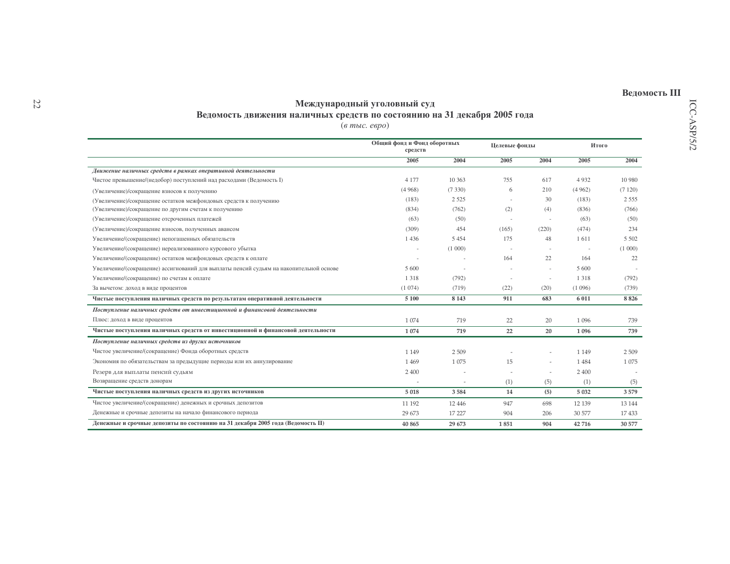#### Ведомость III

#### Международный уголовный суд Ведомость движения наличных средств по состоянию на 31 декабря 2005 года

(в тыс. евро)

|                                                                                        | Общий фонд и Фонд оборотных<br>средств |          | Целевые фонды |                          | Итого   |         |
|----------------------------------------------------------------------------------------|----------------------------------------|----------|---------------|--------------------------|---------|---------|
|                                                                                        | 2005                                   | 2004     | 2005          | 2004                     | 2005    | 2004    |
| Движение наличных средств в рамках оперативной деятельности                            |                                        |          |               |                          |         |         |
| Чистое превышение/(недобор) поступлений над расходами (Ведомость I)                    | 4 1 7 7                                | 10 363   | 755           | 617                      | 4 9 3 2 | 10 980  |
| (Увеличение)/сокращение взносов к получению                                            | (4968)                                 | (7330)   | 6             | 210                      | (4962)  | (7120)  |
| (Увеличение)/сокращение остатков межфондовых средств к получению                       | (183)                                  | 2 5 2 5  | $\sim$        | 30                       | (183)   | 2 5 5 5 |
| (Увеличение)/сокращение по другим счетам к получению                                   | (834)                                  | (762)    | (2)           | (4)                      | (836)   | (766)   |
| (Увеличение)/сокращение отсроченных платежей                                           | (63)                                   | (50)     |               | $\overline{\phantom{a}}$ | (63)    | (50)    |
| (Увеличение)/сокращение взносов, полученных авансом                                    | (309)                                  | 454      | (165)         | (220)                    | (474)   | 234     |
| Увеличение/(сокращение) непогашенных обязательств                                      | 1436                                   | 5 4 5 4  | 175           | 48                       | 1611    | 5 5 0 2 |
| Увеличение/(сокращение) нереализованного курсового убытка                              |                                        | (1 000)  |               |                          |         | (1 000) |
| Увеличение/(сокращение) остатков межфондовых средств к оплате                          |                                        |          | 164           | 22                       | 164     | 22      |
| Увеличение/(сокращение) ассигнований для выплаты пенсий судьям на накопительной основе | 5 600                                  |          |               | $\overline{a}$           | 5 600   |         |
| Увеличение/(сокращение) по счетам к оплате                                             | 1318                                   | (792)    |               | $\sim$                   | 1 3 1 8 | (792)   |
| За вычетом: доход в виде процентов                                                     | (1074)                                 | (719)    | (22)          | (20)                     | (1096)  | (739)   |
| Чистые поступления наличных средств по результатам оперативной деятельности            | 5 100                                  | 8 1 4 3  | 911           | 683                      | 6 0 1 1 | 8826    |
| Поступление наличных средств от инвестиционной и финансовой деятельности               |                                        |          |               |                          |         |         |
| Плюс: доход в виде процентов                                                           | 1074                                   | 719      | 22            | 20                       | 1 0 9 6 | 739     |
| Чистые поступления наличных средств от инвестиционной и финансовой деятельности        | 1074                                   | 719      | 22            | 20                       | 1 0 9 6 | 739     |
| Поступление наличных средств из других источников                                      |                                        |          |               |                          |         |         |
| Чистое увеличение/(сокращение) Фонда оборотных средств                                 | 1 1 4 9                                | 2 5 0 9  |               | $\sim$                   | 1 1 4 9 | 2 5 0 9 |
| Экономия по обязательствам за предыдущие периоды или их аннулирование                  | 1469                                   | 1075     | 15            | $\overline{\phantom{a}}$ | 1484    | 1075    |
| Резерв для выплаты пенсий судьям                                                       | 2 4 0 0                                |          |               | $\sim$                   | 2 4 0 0 |         |
| Возвращение средств донорам                                                            |                                        |          | (1)           | (5)                      | (1)     | (5)     |
| Чистые поступления наличных средств из других источников                               | 5018                                   | 3584     | 14            | (5)                      | 5 0 3 2 | 3579    |
| Чистое увеличение/(сокращение) денежных и срочных депозитов                            | 11 192                                 | 12 4 4 6 | 947           | 698                      | 12 139  | 13 144  |
| Денежные и срочные депозиты на начало финансового периода                              | 29 673                                 | 17 227   | 904           | 206                      | 30 577  | 17433   |
| Денежные и срочные депозиты по состоянию на 31 декабря 2005 года (Ведомость II)        | 40 865                                 | 29 673   | 1851          | 904                      | 42 716  | 30 577  |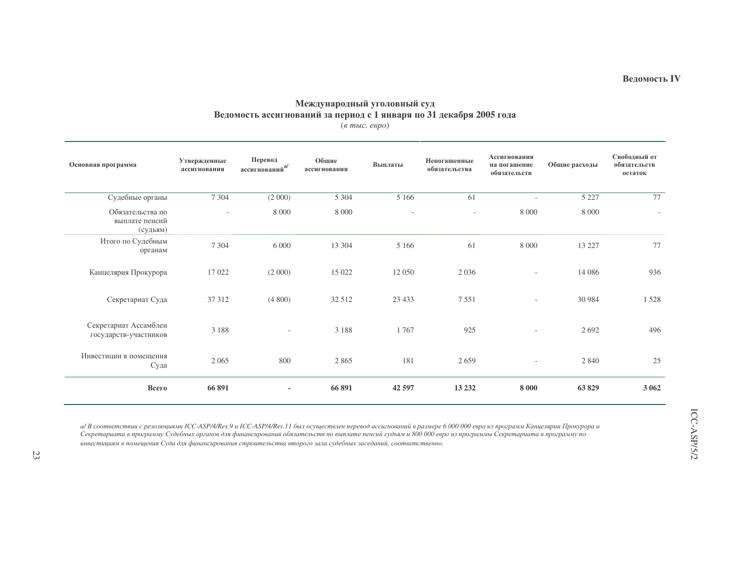### Ведомость IV

#### Международный уголовный суд Ведомость ассигнований за период с 1 января по 31 декабря 2005 года  $\overline{(\mathfrak{g} \mathfrak{m}_{\mathit{bIC.} \mathfrak{e}\mathfrak{g}\mathfrak{p}\mathfrak{o})}}$

| Основная программа                             | Утвержденные<br>ассигнования | Перевод<br>a<br>ассигнований | Общие<br>ассигнования | Выплаты | Непогашенные<br>обязательства | Ассигнования<br>на погашение<br>обязательств | Общие расходы | Своболный от<br>обязательств<br>остаток |
|------------------------------------------------|------------------------------|------------------------------|-----------------------|---------|-------------------------------|----------------------------------------------|---------------|-----------------------------------------|
| Судебные органы                                | 7 3 0 4                      | (2 000)                      | 5 3 0 4               | 5 1 6 6 | 61                            | $\overline{\phantom{a}}$                     | 5 2 2 7       | 77                                      |
| Обязательства по<br>выплате пенсий<br>(судьям) | $\sim$                       | 8 0 0 0                      | 8 0 0 0               |         | ٠                             | 8 0 0 0                                      | 8 0 0 0       |                                         |
| Итого по Судебным<br>органам                   | 7 3 0 4                      | 6 0 0 0                      | 13 304                | 5 1 6 6 | 61                            | 8 0 0 0                                      | 13 227        | 77                                      |
| Канцелярия Прокурора                           | 17022                        | (2 000)                      | 15 022                | 12 050  | 2 0 3 6                       | ÷                                            | 14 0 8 6      | 936                                     |
| Секретариат Суда                               | 37 312                       | (4800)                       | 32 512                | 23 4 33 | 7551                          | $\sim$                                       | 30 9 84       | 1528                                    |
| Секретариат Ассамблеи<br>государств-участников | 3 1 8 8                      | ٠                            | 3 1 8 8               | 1767    | 925                           | ٠                                            | 2 6 9 2       | 496                                     |
| Инвестиции в помещения<br>Суда                 | 2 0 6 5                      | 800                          | 2865                  | 181     | 2659                          | $\sim$                                       | 2 8 4 0       | 25                                      |
| Всего                                          | 66 891                       |                              | 66 891                | 42 597  | 13 23 2                       | 8 0 0 0                                      | 63829         | 3 0 6 2                                 |

a/ В соответствии с резолюциями ICC-ASP/4/Res.9 и ICC-ASP/4/Res.11 был осуществлен перевод ассигнований в размере 6 000 000 евро из программ Канцелярии Прокурора и Секретариата в программу Судебных органов для финансирования обязательств по выплате пенсий судьям и 800 000 евро из программы Секретариата в программу по инвестициям в помещения Суда для финансирования строительства второго зала судебных заседаний, соответственно.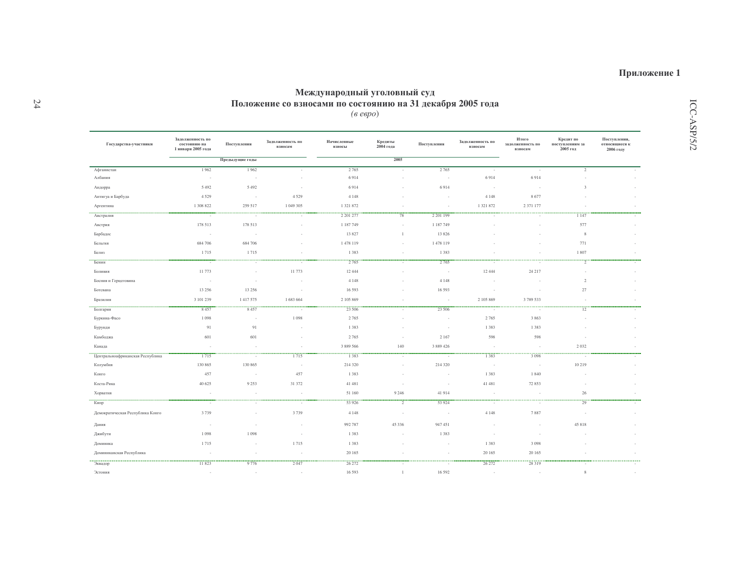# Международный уголовный суд<br>Положение со взносами по состоянию на 31 декабря 2005 года (в евро)

| Государства-участники            | Задолженность по<br>состоянию на<br>1 января 2005 года | Поступления              | Задолженность по<br>взносам | Начисленные<br>взносы | Кредиты<br>2004 года     | Поступления              | Задолженность по<br>взносам | Итого<br>задолженность по<br>взносам | Кредит по<br>поступлениям за<br>2005 год | Поступления,<br>относящиеся к<br>2006 году |
|----------------------------------|--------------------------------------------------------|--------------------------|-----------------------------|-----------------------|--------------------------|--------------------------|-----------------------------|--------------------------------------|------------------------------------------|--------------------------------------------|
|                                  |                                                        | Предыдущие годы          |                             |                       | 2005                     |                          |                             |                                      |                                          |                                            |
| Афганистан                       | 1962                                                   | 1962                     | $\overline{\phantom{a}}$    | 2765                  | $\overline{\phantom{a}}$ | 2765                     | $\overline{\phantom{a}}$    | $\sim$                               | $\overline{2}$                           |                                            |
| Албания                          |                                                        | $\overline{\phantom{a}}$ |                             | 6914                  |                          | ٠                        | 6914                        | 6914                                 |                                          |                                            |
| Андорра                          | 5492                                                   | 5492                     |                             | 6914                  |                          | 6914                     |                             |                                      | 3                                        |                                            |
| Антигуа и Барбуда                | 4529                                                   | $\sim$                   | 4529                        | 4 1 4 8               |                          | ÷                        | 4 1 4 8                     | 8677                                 |                                          | $\sim$                                     |
| Аргентина                        | 1 308 822                                              | 259 517                  | 1 049 305                   | 1 321 872             | ÷                        | $\overline{\phantom{a}}$ | 1 3 2 1 8 7 2               | 2 371 177                            |                                          | $\sim$                                     |
| Австралия                        | $\sim$                                                 | $\sim$                   | $\sim$                      | 2 201 277             | 78                       | 2 201 199                | $\sim$                      | $\sim$                               | 1 1 4 7                                  |                                            |
| Австрия                          | 178 513                                                | 178 513                  |                             | 1 187 749             | ٠                        | 1 187 749                |                             |                                      | 577                                      | ٠                                          |
| Барбадос                         | $\sim$                                                 |                          |                             | 13827                 | 1                        | 13826                    |                             |                                      | 8                                        |                                            |
| Бельгия                          | 684 706                                                | 684 706                  |                             | 1478 119              | $\overline{\phantom{a}}$ | 1478 119                 |                             |                                      | 771                                      | $\sim$                                     |
| Белиз                            | 1715                                                   | 1715                     |                             | 1 3 8 3               | $\overline{\phantom{a}}$ | 1 3 8 3                  |                             | $\sim$                               | 1807                                     | $\sim$                                     |
| Бенин                            | $\sim$                                                 |                          |                             | 2765                  | $\overline{\phantom{a}}$ | 2765                     |                             |                                      | $\overline{2}$                           |                                            |
| Боливия                          | 11773                                                  | $\overline{\phantom{a}}$ | 11 773                      | 12 4 4 4              |                          | $\sim$                   | 12 444                      | 24 217                               |                                          | $\sim$                                     |
| Босния и Герцеговина             |                                                        | $\sim$                   |                             | 4 1 4 8               | $\overline{\phantom{a}}$ | 4 1 4 8                  |                             |                                      | $\overline{2}$                           |                                            |
| Ботсвана                         | 13 25 6                                                | 13 25 6                  |                             | 16 593                | ×                        | 16 593                   |                             |                                      | 27                                       | $\sim$                                     |
| Бразилия                         | 3 101 239                                              | 1 417 575                | 1 683 664                   | 2 105 869             | $\overline{\phantom{a}}$ | $\sim$                   | 2 105 869                   | 3 789 533                            | $\sim$                                   | $\sim$                                     |
| Болгария                         | 8 4 5 7                                                | 8457                     | $\sim$                      | 23 506                |                          | 23 50 6                  | $\sim$                      | $\overline{\phantom{a}}$             | 12                                       |                                            |
| Буркина-Фасо                     | 1098                                                   | $\sim$                   | 1098                        | 2765                  | $\overline{\phantom{a}}$ | $\overline{\phantom{a}}$ | 2765                        | 3863                                 |                                          | $\sim$                                     |
| Бурунди                          | 91                                                     | 91                       | $\overline{\phantom{a}}$    | 1383                  | ×                        | ٠.                       | 1 3 8 3                     | 1383                                 |                                          | $\sim$                                     |
| Камбоджа                         | 601                                                    | 601                      | ٠.                          | 2765                  | $\sim$                   | 2 1 6 7                  | 598                         | 598                                  | $\sim$                                   | $\sim$                                     |
| Канада                           | $\sim$                                                 | $\sim$                   | ÷                           | 3 889 566             | 140                      | 3 889 426                | $\overline{\phantom{a}}$    | $\sim$                               | 2032                                     | $\overline{\phantom{a}}$                   |
| Центральноафриканская Республика | 1715                                                   | $\sim$                   | 1715                        | 1 3 8 3               | $\overline{\phantom{a}}$ | $\sim$                   | 1 3 8 3                     | 3 0 9 8                              | $\sim$                                   |                                            |
| Колумбия                         | 130 865                                                | 130 865                  | ٠.                          | 214 320               | $\sim$                   | 214 320                  | $\sim$                      | $\sim$                               | 10 219                                   | ٠                                          |
| Конго                            | 457                                                    | $\sim$                   | 457                         | 1 3 8 3               | $\sim$                   | $\sim$                   | 1 3 8 3                     | 1840                                 |                                          | $\sim$                                     |
| Коста-Рика                       | 40 625                                                 | 9253                     | 31 372                      | 41 481                | ÷                        | $\sim$                   | 41 481                      | 72 853                               | ٠.                                       | $\sim$                                     |
| Хорватия                         | $\sim$                                                 | $\sim$                   | ٠.                          | 51 160                | 9 2 4 6                  | 41914                    | $\sim$                      | $\sim$                               | $26\,$                                   |                                            |
| Кипр                             | $\sim$                                                 | $\overline{\phantom{a}}$ | $\overline{\phantom{a}}$    | 53 9 26               | $\overline{2}$           | 53 9 24                  | $\sim$                      |                                      | 29                                       | $\sim$                                     |
| Демократическая Республика Конго | 3739                                                   |                          | 3739                        | 4 1 4 8               | ÷                        | $\sim$                   | 4 1 4 8                     | 7887                                 | $\sim$                                   | $\sim$                                     |
| Дания                            | $\sim$                                                 | ÷                        | ٠.                          | 992 787               | 45 3 3 6                 | 947 451                  |                             | ۰.                                   | 45 818                                   |                                            |
| Джибути                          | 1098                                                   | 1098                     | $\sim$                      | 1383                  | ٠                        | 1383                     | $\sim$                      | $\sim$                               |                                          |                                            |
| Доминика                         | 1715                                                   | $\overline{\phantom{a}}$ | 1715                        | 1383                  |                          | $\overline{\phantom{a}}$ | 1 3 8 3                     | 3 0 9 8                              |                                          |                                            |
| Доминиканская Республика         |                                                        | ٠                        |                             | 20 165                |                          |                          | 20 165                      | 20 165                               |                                          |                                            |
| Эквадор                          | 11823                                                  | 9776                     | 2047                        | <br>26 27 2           | $\sim$                   | $\sim$                   | <br>26 272                  | <br>28 3 19                          |                                          |                                            |
| Эстония                          |                                                        | $\sim$                   | ×                           | 16 593                | $\mathbf{1}$             | 16 592                   | ٠                           | $\sim$                               | $\,$ 8 $\,$                              |                                            |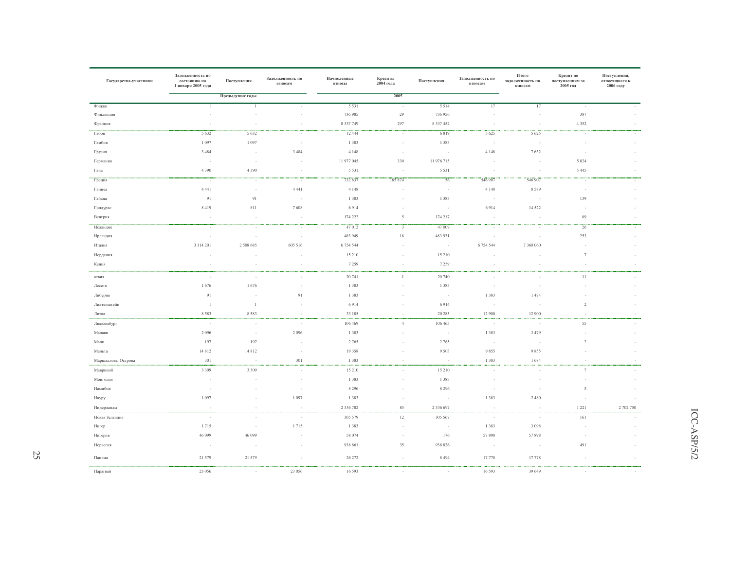| Государства-участники | Задолженность по<br>состоянию на<br>1 января 2005 года | Поступления              | Задолженность по<br>взносам | Начисленные<br>взносы | Кредиты<br>2004 года     | Поступления   | Задолженность по<br>взносам | Итого<br>задолженность по<br>взносам | Кредит по<br>поступлениям за<br>2005 год | Поступления,<br>относящиеся к<br>2006 году |
|-----------------------|--------------------------------------------------------|--------------------------|-----------------------------|-----------------------|--------------------------|---------------|-----------------------------|--------------------------------------|------------------------------------------|--------------------------------------------|
|                       |                                                        | Предыдущие годы          |                             |                       | 2005                     |               |                             |                                      |                                          |                                            |
| Фиджи                 | $\mathbf{1}$                                           | $\mathbf{1}$             |                             | 5 5 3 1               |                          | 5 5 1 4       | 17                          | 17                                   |                                          |                                            |
| Финляндия             | $\overline{\phantom{a}}$                               | $\sim$                   | $\sim$                      | 736 985               | 29                       | 736 956       | $\overline{\phantom{a}}$    |                                      | 387                                      |                                            |
| Франция               | $\overline{\phantom{a}}$                               |                          |                             | 8 3 3 7 7 4 9         | 297                      | 8 3 3 7 4 5 2 | ×                           |                                      | 4 3 5 2                                  | $\overline{\phantom{a}}$                   |
| Габон                 | 5 6 3 2                                                | 5632                     | $\overline{\phantom{a}}$    | 12 4 4 4              | $\overline{\phantom{a}}$ | 6819          | 5625                        | 5625                                 |                                          |                                            |
| Гамбия                | 1097                                                   | 1097                     | ×                           | 1383                  | ×                        | 1383          | ٠                           |                                      | ÷                                        | ÷                                          |
| Грузия                | 3 4 8 4                                                | $\sim$                   | 3 4 8 4                     | 4 1 4 8               | $\sim$                   | $\sim$        | 4 1 4 8                     | 7632                                 | $\sim$                                   | $\sim$                                     |
| Германия              | $\sim$                                                 | $\sim$                   | ٠                           | 11 977 045            | 330                      | 11 976 715    | $\overline{\phantom{a}}$    | $\overline{\phantom{a}}$             | 5 8 2 4                                  | ٠                                          |
| Гана                  | 4 3 9 0                                                | 4390                     | ٠                           | 5 5 3 1               |                          | 5 5 3 1       |                             |                                      | 5 4 4 5                                  | ٠                                          |
| Греция                | $\overline{\phantom{a}}$                               | $\overline{\phantom{a}}$ | $\sim$                      | 732 837               | 185 874                  | 56            | 546 907                     | 546 907                              | $\sim$                                   | $\overline{\phantom{a}}$                   |
| Гвинея                | 4441                                                   | $\overline{\phantom{a}}$ | 4441                        | 4 1 4 8               |                          | ÷             | 4 1 4 8                     | 8589                                 | ×                                        |                                            |
| Гайана                | 91                                                     | 91                       | ×                           | 1383                  | i,                       | 1383          | J.                          |                                      | 139                                      | $\overline{\phantom{a}}$                   |
| Гондурас              | 8419                                                   | 811                      | 7608                        | 6914                  |                          | $\sim$        | 6914                        | 14 5 22                              |                                          | ×                                          |
| Венгрия               | $\sim$                                                 | $\sim$                   | $\sim$                      | 174 222               | $\overline{5}$           | 174 217       | $\overline{\phantom{a}}$    | $\sim$                               | $\rm 89$                                 | ٠                                          |
| Исландия              | $\overline{\phantom{a}}$                               |                          | $\overline{\phantom{a}}$    | 47012                 |                          | 47 009        | ×                           |                                      | 26                                       | $\overline{\phantom{a}}$                   |
| Ирландия              | $\overline{\phantom{a}}$                               | ٠                        | $\sim$                      | 483 949               | 18                       | 483 931       | $\overline{\phantom{a}}$    |                                      | 253                                      |                                            |
| Италия                | 3 114 201                                              | 2 508 685                | 605 516                     | 6 754 544             |                          | $\sim$        | 6 754 544                   | 7 360 060                            |                                          |                                            |
| Иордания              |                                                        |                          |                             | 15 210                | ×                        | 15 210        |                             |                                      | $\tau$                                   | $\sim$                                     |
| Кения                 | ÷                                                      | ٠                        | ÷                           | 7 2 5 9               | ÷                        | 7 2 5 9       |                             |                                      | ÷                                        | $\sim$                                     |
| атвия                 | ×                                                      | ×                        | ×                           | 20741                 | $\mathbf{1}$             | 20 740        | ×                           |                                      | 11                                       |                                            |
| Лесото                | 1676                                                   | 1676                     | ٠                           | 1383                  | ٠                        | 1383          | ٠                           |                                      |                                          | $\sim$                                     |
| Либерия               | 91                                                     | $\sim$                   | 91                          | 1383                  | ٠                        | $\sim$        | 1 3 8 3                     | 1474                                 | ×                                        | $\sim$                                     |
| Лихтенштейн           | $\overline{1}$                                         | $\mathbf{1}$             | $\sim$                      | 6914                  | ٠                        | 6914          |                             |                                      | $\overline{2}$                           | $\overline{\phantom{a}}$                   |
| Литва                 | 8583                                                   | 8583                     | $\overline{\phantom{a}}$    | 33 185                | $\sim$                   | 20 28 5       | 12 900                      | 12 900                               | $\sim$                                   | $\sim$                                     |
| Люксембург            | $\sim$                                                 | ٠                        | ٠.                          | 106 469               | $\overline{4}$           | 106 465       | $\overline{\phantom{a}}$    | $\sim$                               | 55                                       | $\sim$                                     |
| Малави                | 2096                                                   | ×                        | 2096                        | 1383                  |                          | ×             | 1383                        | 3 4 7 9                              |                                          |                                            |
| Мали                  | 197                                                    | 197                      | ٠                           | 2765                  | ٠                        | 2765          | ٠.                          |                                      | $\,2$                                    | $\overline{\phantom{a}}$                   |
| Мальта                | 14812                                                  | 14812                    | ÷                           | 19 358                | ٠                        | 9503          | 9855                        | 9855                                 |                                          | ٠                                          |
| Маршалловы Острова    | 301                                                    | $\sim$                   | 301                         | 1383                  | ٠                        | $\sim$        | 1383                        | 1684                                 | $\sim$                                   | $\sim$                                     |
|                       | 3 3 0 9                                                | 3 3 0 9                  |                             |                       |                          |               |                             |                                      | $\tau$                                   |                                            |
| Маврикий              |                                                        |                          | ٠                           | 15 210                | ×,                       | 15 210        | $\overline{\phantom{a}}$    |                                      |                                          | $\sim$                                     |
| Монголия              | $\overline{\phantom{a}}$                               |                          | $\overline{\phantom{a}}$    | 1 3 8 3               | ×,                       | 1383          | ×                           | <b>.</b>                             | $\overline{\phantom{a}}$                 | $\overline{\phantom{a}}$                   |
| Намибия               | ٠.                                                     |                          | $\overline{a}$              | 8 2 9 6               | J.<br>÷                  | 8 2 9 6       |                             |                                      | $\mathfrak s$                            | ٠<br>÷                                     |
| Haypy                 | 1097                                                   | ٠                        | 1097                        | 1383                  |                          | $\sim$        | 1383                        | 2 4 8 0                              | ٠                                        |                                            |
| Нидерланды            | $\sim$                                                 | $\sim$                   | $\sim$                      | 2 336 782             | 85                       | 2 3 3 6 6 9 7 | $\sim$                      | $\sim$                               | 1 2 2 1                                  | 2 702 750                                  |
| Новая Зеландия        | ٠.                                                     |                          | ٠.                          | 305 579               | $12\,$                   | 305 567       | J.                          | $\overline{\phantom{a}}$             | 161                                      |                                            |
| Нигер                 | 1715                                                   | $\sim$                   | 1715                        | 1383                  | $\sim$                   | $\sim$        | 1383                        | 3 0 9 8                              |                                          |                                            |
| Нигерия               | 46 099                                                 | 46 099                   |                             | 58 074                | $\sim$                   | 176           | 57898                       | 57 898                               | $\overline{\phantom{a}}$                 |                                            |
| Норвегия              | $\sim$                                                 | $\sim$                   | $\sim$                      | 938 861               | 35                       | 938 826       | ٠.                          | $\sim$                               | 491                                      | ٠                                          |
| Панама                | 21 579                                                 | 21 579                   | $\overline{\phantom{a}}$    | 26 27 2               | ×                        | 8 4 9 4       | 17778                       | 17778                                | $\sim$                                   | ×                                          |
| Парагвай              | 23 05 6                                                | $\sim$                   | 23 05 6                     | 16 593                | $\overline{\phantom{a}}$ | $\sim$        | 16 593                      | 39 649                               | $\sim$                                   |                                            |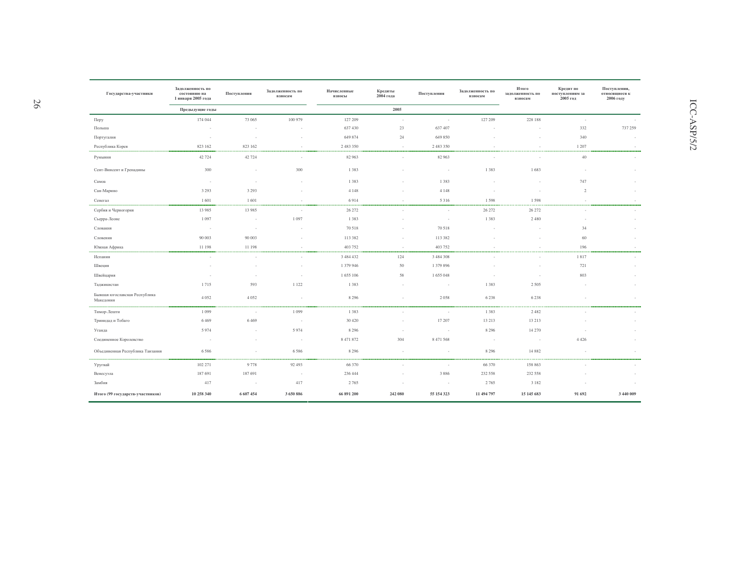| Государства-участники                      | Задолженность по<br>состоянию на<br>1 января 2005 года | Поступления | Задолженность по<br>взносам | Начисленные<br>взносы | Кредиты<br>2004 года     | Поступления              | Задолженность по<br>взносам | Итого<br>задолженность по<br>взносам | Кредит по<br>поступлениям за<br>2005 год | Поступления,<br>относящиеся к<br>2006 году |
|--------------------------------------------|--------------------------------------------------------|-------------|-----------------------------|-----------------------|--------------------------|--------------------------|-----------------------------|--------------------------------------|------------------------------------------|--------------------------------------------|
|                                            | Предыдущие годы                                        |             |                             |                       | 2005                     |                          |                             |                                      |                                          |                                            |
| Перу                                       | 174 044                                                | 73 065      | 100 979                     | 127 209               | ×                        | $\sim$                   | 127 209                     | 228 188                              | $\sim$                                   |                                            |
| Польша                                     |                                                        |             | $\overline{\phantom{a}}$    | 637 430               | 23                       | 637 407                  |                             | ٠                                    | 332                                      | 737 259                                    |
| Португалия                                 |                                                        |             | ×                           | 649 874               | 24                       | 649 850                  |                             | ×                                    | 340                                      | $\overline{\phantom{a}}$                   |
| Республика Корея                           | 823 162                                                | 823 162     |                             | 2 483 350             | ٠                        | 2 483 350                |                             |                                      | 1 207                                    |                                            |
| Румыния                                    | 42 724                                                 | 42 724      |                             | 82 963                | $\sim$                   | 82 963                   |                             |                                      | 40                                       |                                            |
| Сент-Винсент и Гренадины                   | 300                                                    |             | 300                         | 1 3 8 3               |                          | $\sim$                   | 1 3 8 3                     | 1683                                 | ٠                                        |                                            |
| Самоа                                      | $\sim$                                                 |             |                             | 1 3 8 3               | ٠                        | 1383                     |                             | ٠                                    | 747                                      |                                            |
| Сан-Марино                                 | 3 2 9 3                                                | 3 2 9 3     |                             | 4 1 4 8               | ×                        | 4 1 4 8                  |                             |                                      | $\overline{2}$                           |                                            |
| Сенегал                                    | 1601                                                   | 1601        |                             | 6914                  |                          | 5 3 1 6                  | 1598                        | 1598<br>                             | ×                                        |                                            |
| Сербия и Черногория                        | 13 985                                                 | 13 985      |                             | 26 27 2               |                          | $\overline{\phantom{a}}$ | 26 27 2                     | 26 27 2                              | $\overline{a}$                           |                                            |
| Сьерра-Леоне                               | 1097                                                   | $\sim$      | 1097                        | 1383                  | ٠                        | $\sim$                   | 1383                        | 2 4 8 0                              | ٠                                        |                                            |
| Словакия                                   | $\sim$                                                 | $\sim$      |                             | 70 518                | ×                        | 70 518                   |                             |                                      | 34                                       | $\sim$                                     |
| Словения                                   | 90 003                                                 | 90 003      |                             | 113 382               | $\overline{\phantom{a}}$ | 113 382                  |                             | ٠                                    | 60                                       | ×                                          |
| Южная Африка                               | 11 198                                                 | 11 198      | ٠                           | 403 752               | $\overline{\phantom{a}}$ | 403 752                  |                             | ٠                                    | 196                                      | ×                                          |
| Испания                                    |                                                        |             |                             | 3 484 432             | 124                      | 3 4 8 4 3 0 8            |                             | ٠                                    | 1817                                     | ×                                          |
| Швеция                                     |                                                        |             | $\overline{\phantom{a}}$    | 1 379 946             | 50                       | 1 379 896                |                             | ٠                                    | 721                                      | $\sim$                                     |
| Швейцария                                  | $\overline{\phantom{a}}$                               |             | $\overline{\phantom{a}}$    | 1 655 106             | 58                       | 1 655 048                |                             | $\sim$                               | 803                                      | ×                                          |
| Таджикистан                                | 1715                                                   | 593         | 1 1 2 2                     | 1 3 8 3               | ٠                        | $\sim$                   | 1383                        | 2 5 0 5                              |                                          |                                            |
| Бывшая югославская Республика<br>Македония | 4 0 5 2                                                | 4 0 5 2     | $\overline{\phantom{a}}$    | 8 2 9 6               | $\sim$                   | 2058                     | 6 2 3 8                     | 6 2 3 8                              |                                          |                                            |
| Тимор-Лешти                                | 1 0 9 9                                                | $\sim$      | 1 0 9 9                     | 1383                  | $\sim$                   | $\sim$                   | 1 3 8 3                     | .<br>2 4 8 2                         |                                          |                                            |
| Тринидад и Тобаго                          | 6469                                                   | 6469        | ٠.                          | 30 4 20               | ×                        | 17 207                   | 13 21 3                     | 13 21 3                              |                                          |                                            |
| Уганда                                     | 5974                                                   | $\sim$      | 5974                        | 8 2 9 6               | $\overline{\phantom{a}}$ | $\sim$                   | 8 2 9 6                     | 14 270                               | $\overline{\phantom{a}}$                 |                                            |
| Соединенное Королевство                    | $\sim$                                                 |             | $\sim$                      | 8 471 872             | 304                      | 8 471 568                | $\sim$                      | $\sim$                               | 4 4 2 6                                  |                                            |
| Объединенная Республика Танзания           | 6586                                                   |             | 6586                        | 8 2 9 6               | ٠                        | $\sim$                   | 8 2 9 6                     | 14 8 8 2                             |                                          |                                            |
| Уругвай                                    | 102 271                                                | 9778        | 92 493                      | 66 370                | $\sim$                   | $\sim$                   | 66 370                      | 158 863                              |                                          |                                            |
| Венесуэла                                  | 187 691                                                | 187 691     | $\overline{\phantom{a}}$    | 236 444               |                          | 3886                     | 232 558                     | 232 558                              |                                          | $\overline{\phantom{a}}$                   |
| Замбия                                     | 417                                                    | $\sim$      | 417                         | 2765                  | ٠                        | $\sim$                   | 2 7 6 5                     | 3 1 8 2                              |                                          | $\overline{\phantom{a}}$                   |
| Итого (99 государств-участников)           | 10 258 340                                             | 6 607 454   | 3 650 886                   | 66 891 200            | 242 080                  | 55 154 323               | 11 494 797                  | 15 145 683                           | 91 692                                   | 3 440 009                                  |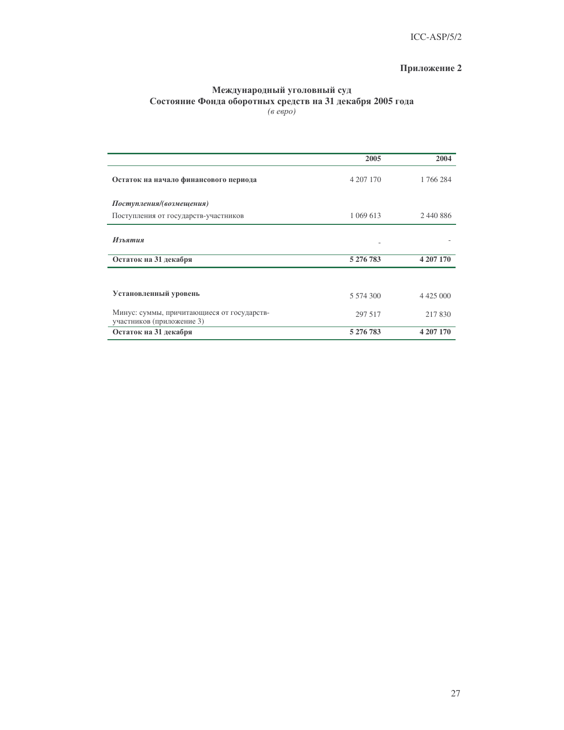#### Международный уголовный суд Состояние Фонда оборотных средств на 31 декабря 2005 года (в евро)

|                                                                         | 2005          | 2004          |
|-------------------------------------------------------------------------|---------------|---------------|
| Остаток на начало финансового периода                                   | 4 207 170     | 1 766 284     |
| Поступления/(возмещения)                                                |               |               |
| Поступления от государств-участников                                    | 1 0 6 9 6 1 3 | 2 440 886     |
| Изъятия                                                                 |               |               |
| Остаток на 31 декабря                                                   | 5 276 783     | 4 207 170     |
|                                                                         |               |               |
| Установленный уровень                                                   | 5 574 300     | 4 4 2 5 0 0 0 |
| Минус: суммы, причитающиеся от государств-<br>участников (приложение 3) | 297 517       | 217830        |
| Остаток на 31 декабря                                                   | 5 276 783     | 4 207 170     |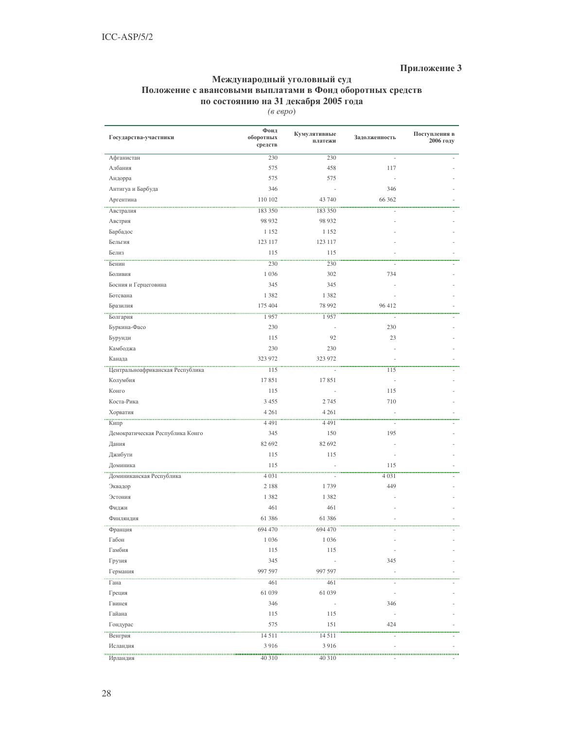## Международный уголовный суд Положение с авансовыми выплатами в Фонд оборотных средств по состоянию на 31 декабря 2005 года

 $($  e  $e$ 

| Государства-участники            | Фонд<br>оборотных<br>средств | Кумулятивные<br>платежи  | Задолженность | Поступления в<br>2006 году |
|----------------------------------|------------------------------|--------------------------|---------------|----------------------------|
| Афганистан                       | 230                          | 230                      | J.            |                            |
| Албания                          | 575                          | 458                      | 117           |                            |
| Андорра                          | 575                          | 575                      | ×.            |                            |
| Антигуа и Барбуда                | 346                          |                          | 346           |                            |
| Аргентина                        | 110 102                      | 43 740                   | 66 362        |                            |
| Австралия                        | 183 350                      | 183 350                  |               |                            |
| Австрия                          | 98 932                       | 98 932                   |               |                            |
| Барбадос                         | 1 1 5 2                      | 1 1 5 2                  |               |                            |
| Бельгия                          | 123 117                      | 123 117                  |               |                            |
| Белиз                            | 115                          | 115                      |               |                            |
| Бенин                            | 230                          | 230                      |               |                            |
| Боливия                          | 1 0 3 6                      | 302                      | 734           |                            |
| Босния и Герцеговина             | 345                          | 345                      |               |                            |
| Ботсвана                         | 1 3 8 2                      | 1 3 8 2                  |               |                            |
| Бразилия                         | 175 404                      | 78 992                   | 96 412        |                            |
| Болгария                         | 1957                         | 1957                     |               |                            |
| Буркина-Фасо                     | 230                          |                          | 230           |                            |
| Бурунди                          | 115                          | 92                       | 23            |                            |
| Камбоджа                         | 230                          | 230                      |               |                            |
| Канада                           | 323 972                      | 323 972                  |               |                            |
| Центральноафриканская Республика | 115                          |                          | 115           |                            |
| Колумбия                         | 17851                        | 17851                    | J.            |                            |
| Конго                            | 115                          |                          | 115           |                            |
| Коста-Рика                       | 3 4 5 5                      | 2 7 4 5                  | 710           |                            |
| Хорватия                         | 4 2 6 1                      | 4 2 6 1                  |               |                            |
| Кипр                             | 4 4 9 1                      | 4 4 9 1                  | ٠             |                            |
| Демократическая Республика Конго | 345                          | 150                      | 195           |                            |
| Дания                            | 82 692                       | 82 692                   |               |                            |
| Джибути                          | 115                          | 115                      | ٠             |                            |
| Доминика                         | 115                          |                          | 115           |                            |
| Доминиканская Республика         | 4 0 3 1                      |                          | 4 0 3 1       |                            |
| Эквадор                          | 2 1 8 8                      | 1739                     | 449           |                            |
| Эстония                          | 1 3 8 2                      | 1 3 8 2                  |               |                            |
| Фиджи                            | 461                          | 461                      |               |                            |
| Финляндия                        | 61 38 6                      | 61 38 6                  |               |                            |
|                                  | 694 470                      | 694 470                  |               |                            |
| Франция                          |                              |                          |               |                            |
| 1 абон<br>Гамбия                 | 1 0 3 6<br>115               | 1 0 36<br>115            | ٠             |                            |
|                                  |                              |                          |               |                            |
| Грузия                           | 345<br>997 597               | 997 597                  | 345           |                            |
| Германия                         |                              |                          |               |                            |
| Гана                             | 461                          | 461                      |               |                            |
| Греция                           | 61 039                       | 61 039                   |               |                            |
| Гвинея                           | 346                          |                          | 346           |                            |
| Гайана                           | 115                          | 115                      |               |                            |
| Гондурас                         | 575                          | 151                      | 424           |                            |
| Венгрия                          | 14 5 11                      | 14 5 11                  |               |                            |
| Исландия<br>                     | 3 9 1 6                      | 3 9 1 6<br>,,,,,,,,,,,,, |               |                            |
| Ирландия                         | 40 310                       | 40 310                   |               |                            |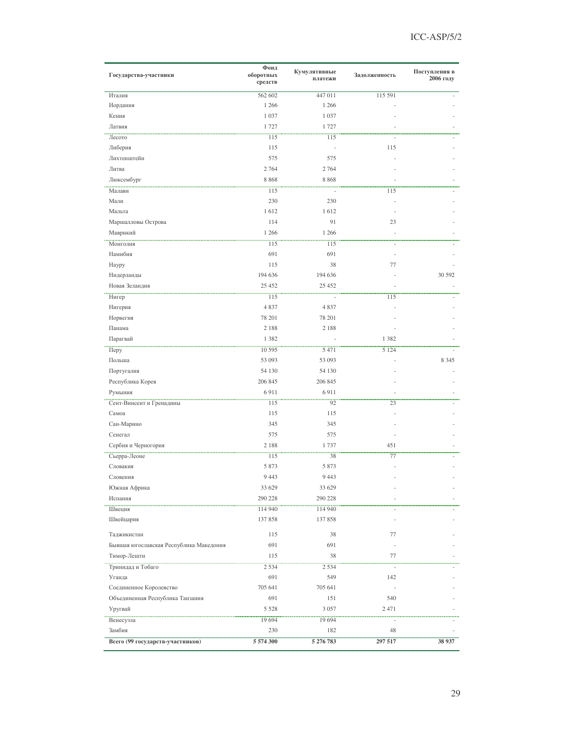| Государства-участники                   | Фонд<br>оборотных<br>средств | Кумулятивные<br>платежи | Задолженность | Поступления в<br>2006 году |
|-----------------------------------------|------------------------------|-------------------------|---------------|----------------------------|
| Италия                                  | 562 602                      | 447 011                 | 115 591       |                            |
| Иордания                                | 1 2 6 6                      | 1 2 6 6                 |               |                            |
| Кения                                   | 1 0 3 7                      | 1 0 3 7                 |               |                            |
| Латвия                                  | 1727                         | 1727                    |               |                            |
| Лесото                                  | 115                          | 115                     |               |                            |
| Либерия                                 | 115                          |                         | 115           |                            |
| Лихтенштейн                             | 575                          | 575                     |               |                            |
| Литва                                   | 2 7 6 4                      | 2 7 6 4                 |               |                            |
| Люксембург                              | 8868                         | 8868                    |               |                            |
| Малави                                  | 115                          |                         | 115           |                            |
| Мали                                    | 230                          | 230                     |               |                            |
| Мальта                                  | 1612                         | 1612                    |               |                            |
| Маршалловы Острова                      | 114                          | 91                      | 23            |                            |
| Маврикий                                | 1 2 6 6                      | 1 2 6 6                 |               |                            |
| Монголия                                | 115                          | 115                     |               |                            |
| Намибия                                 | 691                          | 691                     |               |                            |
| Haypy                                   | 115                          | 38                      | 77            |                            |
| Нидерланды                              | 194 636                      | 194 636                 |               | 30 592                     |
| Новая Зеландия                          | 25 452                       | 25 4 52                 |               |                            |
| Нигер                                   | 115                          |                         | 115           |                            |
| Нигерия                                 | 4 8 3 7                      | 4 8 3 7                 |               |                            |
| Норвегия                                | 78 201                       | 78 201                  |               |                            |
| Панама                                  | 2 1 8 8                      | 2 1 8 8                 |               |                            |
| Парагвай                                | 1 3 8 2                      |                         | 1 3 8 2       |                            |
| Перу                                    | 10 595                       | 5 4 7 1                 | 5 1 2 4       |                            |
| Польша                                  | 53 093                       | 53 093                  |               | 8 3 4 5                    |
| Португалия                              | 54 130                       | 54 130                  |               |                            |
| Республика Корея                        | 206 845                      | 206 845                 |               |                            |
| Румыния                                 | 6 9 1 1                      | 6 9 1 1                 |               |                            |
| Сент-Винсент и Гренадины                | 115                          | 92                      | 23            |                            |
| Самоа                                   | 115                          | 115                     |               |                            |
| Сан-Марино                              | 345                          | 345                     |               |                            |
| Сенегал                                 | 575                          | 575                     |               |                            |
| Сербия и Черногория                     | 2 1 8 8                      | 1737                    | 451           |                            |
| Сьерра-Леоне                            | 115                          | 38                      | 77            |                            |
| Словакия                                | 5 8 7 3                      | 5 8 7 3                 |               |                            |
| Словения                                | 9 4 4 3                      | 9 4 4 3                 |               |                            |
| Южная Африка                            | 33 629                       | 33 629                  |               |                            |
| Испания                                 | 290 228                      | 290 228                 |               |                            |
| Швеция                                  | 114 940                      | 114 940                 |               |                            |
| Швейцария                               | 137 858                      | 137 858                 |               |                            |
| Таджикистан                             | 115                          | 38                      | 77            |                            |
| Бывшая югославская Республика Македония | 691                          | 691                     |               |                            |
| Тимор-Лешти                             | 115                          | 38                      | 77            |                            |
| Тринидад и Тобаго                       | 2 5 3 4                      | 2 5 3 4                 |               |                            |
| Уганда                                  | 691                          | 549                     | 142           |                            |
| Соединенное Королевство                 | 705 641                      | 705 641                 |               |                            |
| Объединенная Республика Танзания        | 691                          | 151                     | 540           |                            |
| Уругвай                                 | 5 5 2 8                      | 3 0 5 7                 | 2471          |                            |
| Венесуэла                               | 19 694                       | 19 694                  |               |                            |
| Замбия                                  | 230                          | 182                     | 48            |                            |
| Всего (99 государств-участников)        | 5 574 300                    | 5 276 783               | 297 517       | 38 937                     |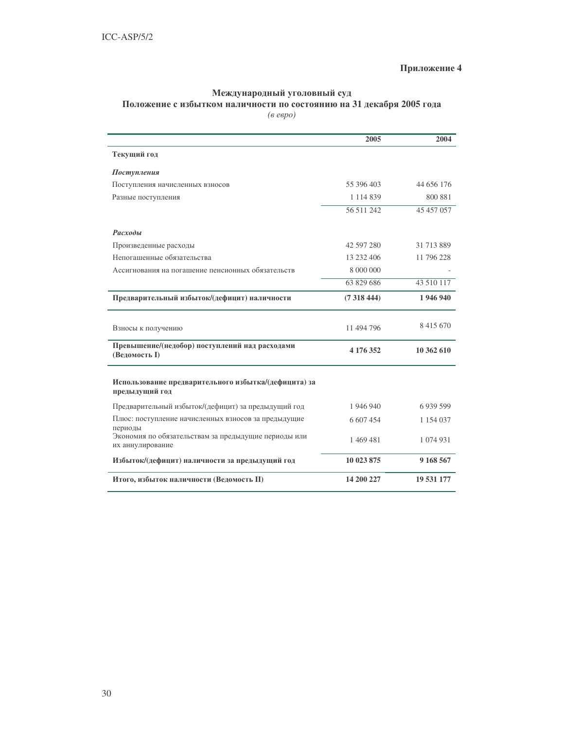## Международный уголовный суд Положение с избытком наличности по состоянию на 31 декабря 2005 года

(в евро)

|                                                                                     | 2005          | 2004          |
|-------------------------------------------------------------------------------------|---------------|---------------|
| Текущий год                                                                         |               |               |
| Поступления                                                                         |               |               |
| Поступления начисленных взносов                                                     | 55 396 403    | 44 656 176    |
| Разные поступления                                                                  | 1 1 1 4 8 3 9 | 800 881       |
|                                                                                     | 56 511 242    | 45 457 057    |
| Расходы                                                                             |               |               |
| Произведенные расходы                                                               | 42 597 280    | 31 713 889    |
| Непогашенные обязательства                                                          | 13 232 406    | 11 796 228    |
| Ассигнования на погашение пенсионных обязательств                                   | 8 000 000     |               |
|                                                                                     | 63 829 686    | 43 510 117    |
| Предварительный избыток/(дефицит) наличности                                        | (7318444)     | 1946940       |
| Взносы к получению                                                                  | 11 494 796    | 8 4 1 5 6 7 0 |
| Превышение/(недобор) поступлений над расходами<br>(Ведомость I)                     | 4 176 352     | 10 362 610    |
| Использование предварительного избытка/(дефицита) за<br>предыдущий год              |               |               |
| Предварительный избыток/(дефицит) за предыдущий год                                 | 1 946 940     | 6939599       |
| Плюс: поступление начисленных взносов за предыдущие                                 | 6 607 454     | 1 1 5 4 0 3 7 |
| периоды<br>Экономия по обязательствам за предыдущие периоды или<br>их аннулирование | 1469481       | 1 074 931     |
| Избыток/(дефицит) наличности за предыдущий год                                      | 10 023 875    | 9 168 567     |
| Итого, избыток наличности (Ведомость II)                                            | 14 200 227    | 19 531 177    |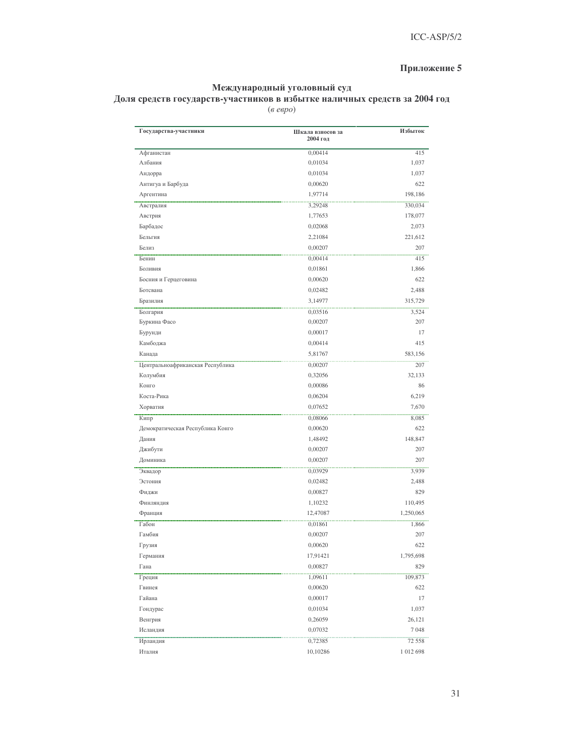# Международный уголовный суд<br>Доля средств государств-участников в избытке наличных средств за 2004 год  $(eeepo)$

| Государства-участники            | Шкала взносов за<br>2004 год | Избыток         |  |
|----------------------------------|------------------------------|-----------------|--|
| Афганистан                       | 0,00414                      | 415             |  |
| Албания                          | 0,01034                      | 1,037           |  |
| Андорра                          | 0,01034                      | 1,037           |  |
| Антигуа и Барбуда                | 0,00620                      | 622             |  |
| Аргентина                        | 1,97714                      | 198,186         |  |
| Австралия                        | 3,29248                      | 330,034         |  |
| Австрия                          | 1,77653                      | 178,077         |  |
| Барбадос                         | 0,02068                      | 2,073           |  |
| Бельгия                          | 2,21084                      | 221,612         |  |
| Белиз                            | 0,00207                      | 207             |  |
| Бенин                            | 0,00414                      | 415             |  |
| Боливия                          | 0,01861                      | 1,866           |  |
| Босния и Герцеговина             | 0,00620                      | 622             |  |
| Ботсвана                         | 0,02482                      | 2,488           |  |
| Бразилия                         | 3,14977                      | 315,729         |  |
| Болгария                         | 0,03516                      | 3,524           |  |
| Буркина Фасо                     | 0,00207                      | 207             |  |
| Бурунди                          | 0,00017                      | 17              |  |
| Камбоджа                         | 0,00414                      | 415             |  |
| Канада                           | 5,81767                      | 583,156         |  |
| Центральноафриканская Республика | 0,00207                      | 207             |  |
| Колумбия                         | 0,32056                      | 32,133          |  |
| Конго                            | 0,00086                      | 86              |  |
| Коста-Рика                       | 0,06204                      | 6,219           |  |
| Хорватия                         | 0,07652                      | 7,670           |  |
| Кипр                             | 0,08066                      | 8,085           |  |
| Демократическая Республика Конго | 0,00620                      | 622             |  |
| Дания                            | 1,48492                      | 148,847         |  |
| Джибути                          | 0,00207                      | 207             |  |
| Доминика                         | 0,00207                      | 207             |  |
| Эквадор                          | 0,03929                      | 3,939           |  |
| Эстония                          | 0,02482                      | 2,488           |  |
| Фиджи                            | 0,00827                      | 829             |  |
| Финляндия                        | 1,10232                      | 110,495         |  |
| Франция                          | 12,47087                     | 1,250,065       |  |
| Габон                            | 0,01861                      | 1,866           |  |
| Гамбия                           | 0,00207                      | 207             |  |
| Грузия                           | 0,00620                      | 622             |  |
| Германия                         | 17,91421                     | 1,795,698       |  |
| Гана                             | 0,00827                      | 829             |  |
| Греция                           | 1,09611                      | 109,873         |  |
| Гвинея                           | 0,00620                      | 622             |  |
| Гайана                           | 0,00017                      | 17              |  |
|                                  |                              |                 |  |
| Гондурас<br>Венгрия              | 0,01034<br>0,26059           | 1,037<br>26,121 |  |
|                                  |                              |                 |  |
| Исландия                         | 0,07032                      | 7048            |  |
| Ирландия                         | 0,72385                      | 72 558          |  |
| Италия                           | 10,10286                     | 1 012 698       |  |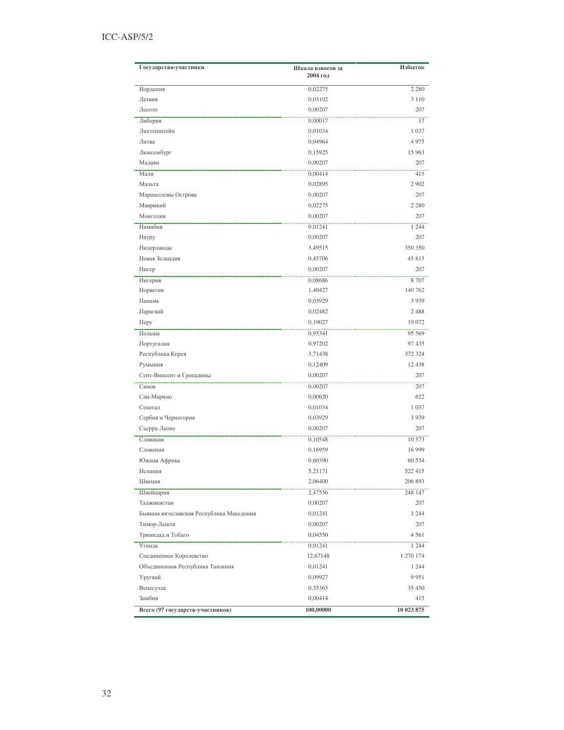| Государства-участники                   | Шкала взносов за<br>2004 год | Избыток        |
|-----------------------------------------|------------------------------|----------------|
|                                         |                              |                |
| Иордания                                | 0,02275                      | 2 2 8 0        |
| Латвия                                  | 0,03102                      | 3 1 1 0        |
| Лесото                                  | 0,00207                      | 207            |
| Либерия                                 | 0,00017                      | 17             |
| Лихтенштейн                             | 0,01034                      | 1 0 3 7        |
| Литва                                   | 0,04964                      | 4975           |
| Люксембург                              | 0,15925                      | 15 963         |
| Малави                                  | 0,00207                      | 207            |
| Мали                                    | 0,00414                      | 415            |
| Мальта                                  | 0,02895                      | 2902           |
| Маршалловы Острова                      | 0,00207                      | 207            |
| Маврикий                                | 0,02275                      | 2 2 8 0        |
| Монголия                                | 0,00207                      | 207            |
| Намибия                                 | 0,01241                      | 1 2 4 4        |
| Haypy                                   | 0,00207                      | 207            |
| Нидерланды                              | 3,49515                      | 350 350        |
| Новая Зеландия                          | 0,45706                      | 45 815         |
| Нигер                                   | 0,00207                      | 207            |
| Нигерия                                 | 0,08686                      | 8707           |
| Норвегия                                | 1,40427                      | 140 762        |
| Панама                                  | 0,03929                      | 3 9 3 9        |
| Парагвай                                | 0,02482                      | 2488           |
| Перу                                    | 0,19027                      | 19 072         |
| Польша                                  | 0,95341                      | 95 569         |
| Португалия                              | 0,97202                      | 97 435         |
| Республика Корея                        | 3,71438                      | 372 324        |
| Румыния                                 | 0,12409                      | 12 4 38        |
| Сент-Винсент и Гренадины                | 0,00207                      | 207            |
| Самоа                                   | 0,00207                      | 207            |
| Сан-Марино                              | 0,00620                      | 622            |
| Сенегал                                 | 0,01034                      | 1037           |
| Сербия и Черногория                     | 0,03929                      | 3939           |
| Сьерра-Леоне                            | 0,00207                      | 207            |
| Словакия                                | 0,10548                      | 10 573         |
| Словения                                | 0,16959                      | 16 9 9 9       |
| Южная Африка                            | 0,60390                      | 60 534         |
| Испания                                 | 5,21171                      | 522 415        |
| Швеция                                  | 2,06400                      | 206 893        |
|                                         |                              |                |
| Швейцария<br>Таджикистан                | 2,47556                      | 248 147        |
|                                         | 0,00207                      | 207<br>1 2 4 4 |
| Бывшая югославская Республика Македония | 0,01241                      |                |
| Тимор-Лешти                             | 0,00207                      | 207            |
| Тринидад и Тобаго                       | 0,04550                      | 4561           |
| Уганда                                  | 0,01241                      | 1 2 4 4        |
| Соединенное Королевство                 | 12,67148                     | 1 270 174      |
| Объединенная Республика Танзания        | 0,01241                      | 1 2 4 4        |
| Уругвай                                 | 0,09927                      | 9951           |
| Венесуэла                               | 0,35365                      | 35 450         |
| Замбия                                  | 0,00414                      | 415            |
| Всего (97 государств-участников)        | 100,00000                    | 10 023 875     |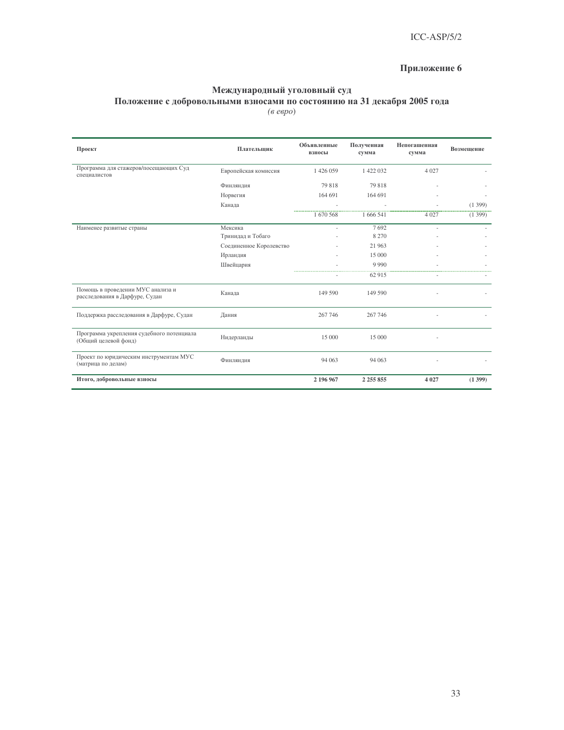#### Международный уголовный суд Положение с добровольными взносами по состоянию на 31 декабря 2005 года (в евро)

| Проект                                                              | Плательшик              | Объявленные<br>взносы | Полученная<br>сумма | Непогашенная<br>сумма | Возмешение |
|---------------------------------------------------------------------|-------------------------|-----------------------|---------------------|-----------------------|------------|
| Программа для стажеров/посещающих Суд<br>специалистов               | Европейская комиссия    | 1 426 059             | 1 422 032           | 4 0 27                |            |
|                                                                     | Финляндия               | 79 818                | 79 818              |                       |            |
|                                                                     | Норвегия                | 164 691               | 164 691             |                       |            |
|                                                                     | Канада                  |                       |                     |                       | (1399)     |
|                                                                     |                         | 1670568               | 1 666 541           | 4 0 27                | (1399)     |
| Наименее развитые страны                                            | Мексика                 | ä,                    | 7692                |                       |            |
|                                                                     | Тринидад и Тобаго       |                       | 8 2 7 0             |                       |            |
|                                                                     | Соединенное Королевство |                       | 21 963              |                       |            |
|                                                                     | Ирландия                |                       | 15 000              |                       |            |
|                                                                     | Швейцария               |                       | 9 9 9 0             |                       |            |
|                                                                     |                         |                       | 62 915              |                       |            |
| Помощь в проведении МУС анализа и<br>расследования в Дарфуре, Судан | Канада                  | 149 590               | 149 590             |                       |            |
| Поддержка расследования в Дарфуре, Судан                            | Дания                   | 267 746               | 267 746             |                       |            |
| Программа укрепления судебного потенциала<br>(Общий целевой фонд)   | Нидерланды              | 15 000                | 15 000              |                       |            |
| Проект по юридическим инструментам МУС<br>(матрица по делам)        | Финляндия               | 94 063                | 94 063              |                       |            |
| Итого, добровольные взносы                                          |                         | 2 196 967             | 2 2 5 5 8 5 5       | 4 0 27                | (1399)     |

33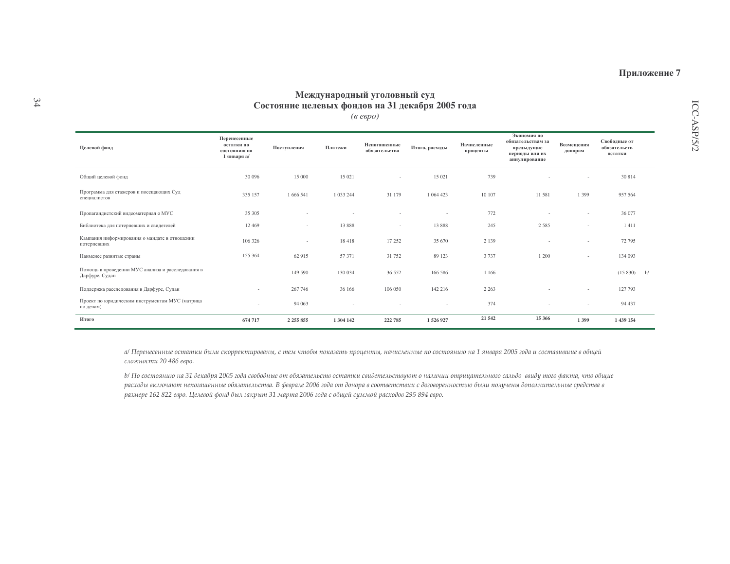#### Международный уголовный суд Состояние целевых фондов на 31 декабря 2005 года  $($ вевро $)$

| Целевой фонд                                                        | Перенесенные<br>остатки по<br>состоянию на<br>1 января а/ | Поступления   | Платежи   | Непогашенные<br>обязательства | Итого, расходы           | Начисленные<br>проценты | Экономия по<br>обязательствам за<br>предыдущие<br>периоды или их<br>аннулирование | Возмещения<br>донорам | Своболные от<br>обязательств<br>остатки |
|---------------------------------------------------------------------|-----------------------------------------------------------|---------------|-----------|-------------------------------|--------------------------|-------------------------|-----------------------------------------------------------------------------------|-----------------------|-----------------------------------------|
| Общий целевой фонд                                                  | 30 096                                                    | 15 000        | 15 021    | ٠                             | 15 021                   | 739                     |                                                                                   | $\sim$                | 30 814                                  |
| Программа для стажеров и посещающих Суд<br>специалистов             | 335 157                                                   | 1 666 541     | 1 033 244 | 31 179                        | 1 064 423                | 10 107                  | 11581                                                                             | 1 3 9 9               | 957 564                                 |
| Пропагандистский видеоматериал о МУС                                | 35 30 5                                                   |               |           |                               | $\overline{\phantom{a}}$ | 772                     |                                                                                   |                       | 36 077                                  |
| Библиотека для потерпевших и свидетелей                             | 12 4 6 9                                                  | $\sim$        | 13 888    | $\sim$                        | 13888                    | 245                     | 2 5 8 5                                                                           |                       | 1411                                    |
| Кампания информирования о мандате в отношении<br>потерпевших        | 106 326                                                   | ٠             | 18418     | 17 25 2                       | 35 670                   | 2 1 3 9                 |                                                                                   | $\sim$                | 72 795                                  |
| Наименее развитые страны                                            | 155 364                                                   | 62 915        | 57 371    | 31 752                        | 89 123                   | 3737                    | 1 200                                                                             | $\sim$                | 134 093                                 |
| Помощь в проведении МУС анализа и расследования в<br>Дарфуре, Судан | н.                                                        | 149 590       | 130 034   | 36 552                        | 166 586                  | 1 1 6 6                 |                                                                                   | $\sim$                | $(15830)$ b/                            |
| Поддержка расследования в Дарфуре, Судан                            | $\sim$                                                    | 267 746       | 36 166    | 106 050                       | 142 216                  | 2 2 6 3                 |                                                                                   | $\sim$                | 127 793                                 |
| Проект по юридическим инструментам МУС (матрица<br>по делам)        | ×.                                                        | 94 063        |           |                               | $\overline{\phantom{a}}$ | 374                     |                                                                                   | ٠                     | 94 437                                  |
| Итого                                                               | 674 717                                                   | 2 2 5 5 8 5 5 | 1 304 142 | 222 785                       | 1526927                  | 21 5 42                 | 15 366                                                                            | 1399                  | 1 439 154                               |

а/ Перенесенные остатки были скорректированы, с тем чтобы показать проценты, начисленные по состоянию на 1 января 2005 года и составившие в общей сложности 20 486 евро.

b/ По состоянию на 31 декабря 2005 года свободные от обязательств остатки свидетельствуют о наличии отрицательного сальдо ввиду того факта, что общие расходы включают непогашенные обязательства. В феврале 2006 года от донора в соответствии с договоренностью были получены дополнительные средства в размере 162 822 евро. Целевой фонд был закрыт 31 марта 2006 года с общей суммой расходов 295 894 евро.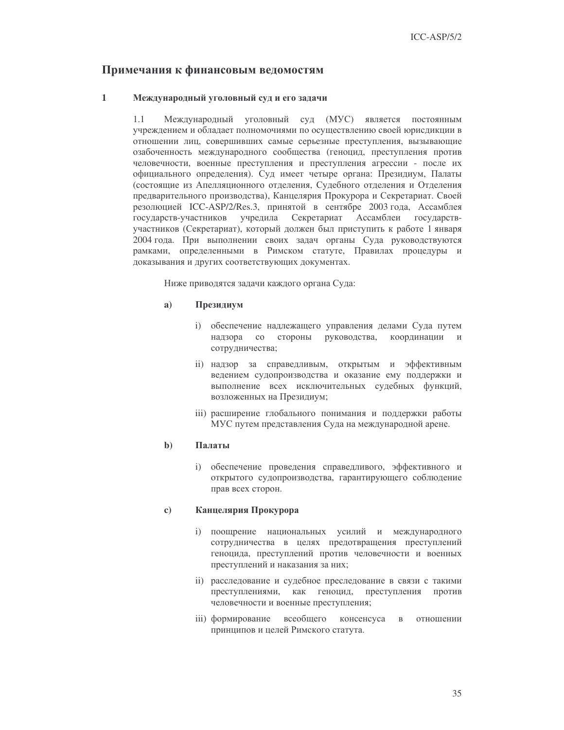## Примечания к финансовым ведомостям

#### $\mathbf{1}$ Международный уголовный суд и его задачи

Международный уголовный суд (МУС) является постоянным  $1.1$ учреждением и обладает полномочиями по осуществлению своей юрисдикции в отношении лиц, совершивших самые серьезные преступления, вызывающие озабоченность международного сообщества (геноцид, преступления против человечности, военные преступления и преступления агрессии - после их официального определения). Суд имеет четыре органа: Президиум, Палаты (состоящие из Апелляционного отделения, Судебного отделения и Отделения предварительного производства), Канцелярия Прокурора и Секретариат. Своей резолюцией ICC-ASP/2/Res.3, принятой в сентябре 2003 года, Ассамблея государств-участников учредила Секретариат Ассамблеи государствучастников (Секретариат), который должен был приступить к работе 1 января 2004 года. При выполнении своих задач органы Суда руководствуются рамками, определенными в Римском статуте, Правилах процедуры и доказывания и других соответствующих документах.

Ниже приводятся задачи каждого органа Суда:

#### $a)$ Президиум

- і) обеспечение надлежащего управления делами Суда путем надзора со стороны руководства, координации и сотрудничества;
- іі) надзор за справедливым, открытым и эффективным ведением судопроизводства и оказание ему поддержки и выполнение всех исключительных судебных функций, возложенных на Президиум;
- ііі) расширение глобального понимания и поддержки работы МУС путем представления Суда на международной арене.

#### $\mathbf{b}$ ) Палаты

і) обеспечение проведения справедливого, эффективного и открытого судопроизводства, гарантирующего соблюдение прав всех сторон.

#### $\mathbf{c}$ Канцелярия Прокурора

- і) поощрение национальных усилий и международного сотрудничества в целях предотвращения преступлений геноцида, преступлений против человечности и военных преступлений и наказания за них:
- іі) расследование и судебное преследование в связи с такими преступлениями, как геноцид, преступления Против человечности и военные преступления;
- iii) формирование всеобщего консенсуса в отношении принципов и целей Римского статута.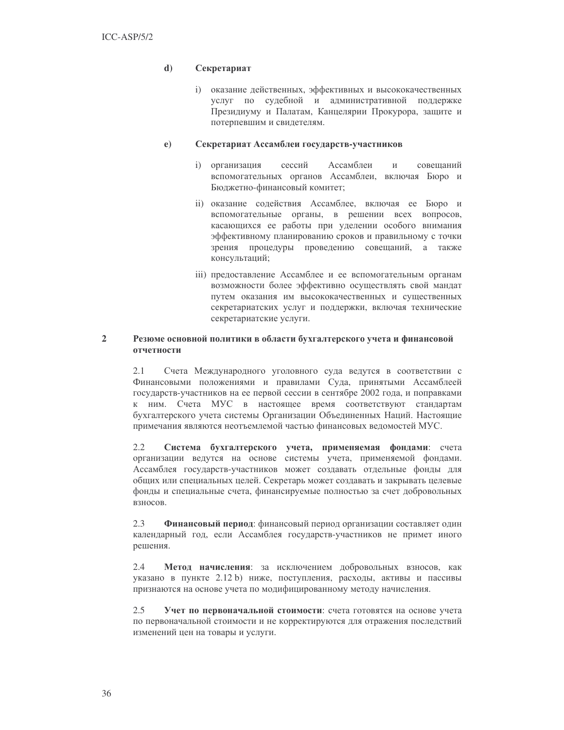#### $\mathbf{d}$ Секретариат

і) оказание действенных, эффективных и высококачественных услуг по судебной и административной поддержке Президиуму и Палатам, Канцелярии Прокурора, защите и потерпевшим и свидетелям.

#### $\bf{e}$ Секретариат Ассамблеи государств-участников

- *i*) организация сессий Ассамблеи  $\,$   $\,$   $\,$   $\,$ совещаний вспомогательных органов Ассамблеи, включая Бюро и Бюджетно-финансовый комитет;
- іі) оказание содействия Ассамблее, включая ее Бюро и вспомогательные органы, в решении всех вопросов, касающихся ее работы при уделении особого внимания эффективному планированию сроков и правильному с точки зрения процедуры проведению совещаний, а также консультаций;
- ііі) предоставление Ассамблее и ее вспомогательным органам возможности более эффективно осуществлять свой мандат путем оказания им высококачественных и существенных секретариатских услуг и поддержки, включая технические секретариатские услуги.

#### $\overline{2}$ Резюме основной политики в области бухгалтерского учета и финансовой отчетности

Счета Международного уголовного суда ведутся в соответствии с  $2.1$ Финансовыми положениями и правилами Суда, принятыми Ассамблеей государств-участников на ее первой сессии в сентябре 2002 года, и поправками к ним. Счета МУС в настоящее время соответствуют стандартам бухгалтерского учета системы Организации Объединенных Наций. Настоящие примечания являются неотъемлемой частью финансовых ведомостей МУС.

Система бухгалтерского учета, применяемая фондами: счета 2.2 организации ведутся на основе системы учета, применяемой фондами. Ассамблея государств-участников может создавать отдельные фонды для общих или специальных целей. Секретарь может создавать и закрывать целевые фонды и специальные счета, финансируемые полностью за счет добровольных B3HOCOB.

2.3 Финансовый период: финансовый период организации составляет один календарный год, если Ассамблея государств-участников не примет иного решения.

 $2.4$ Метод начисления: за исключением добровольных взносов, как указано в пункте 2.12 b) ниже, поступления, расходы, активы и пассивы признаются на основе учета по модифицированному методу начисления.

 $2.5$ Учет по первоначальной стоимости: счета готовятся на основе учета по первоначальной стоимости и не корректируются для отражения последствий изменений цен на товары и услуги.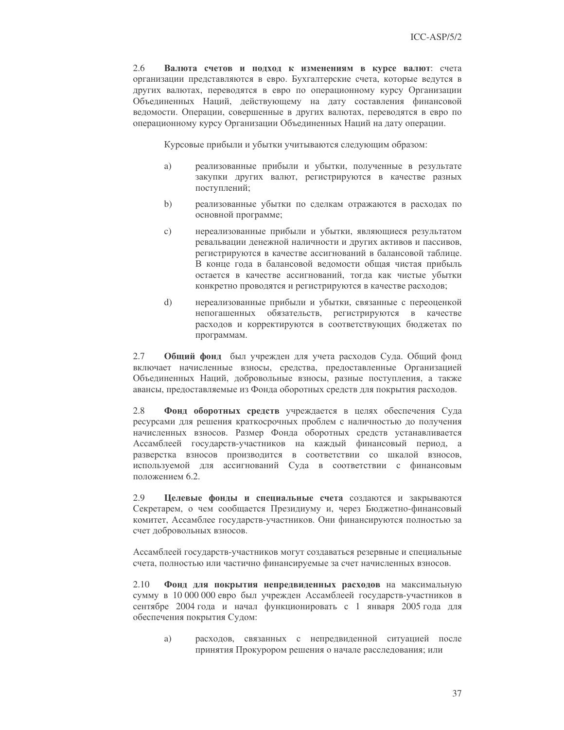$2.6$ Валюта счетов и подход к изменениям в курсе валют: счета организации представляются в евро. Бухгалтерские счета, которые ведутся в других валютах, переводятся в евро по операционному курсу Организации Объединенных Наций, действующему на дату составления финансовой ведомости. Операции, совершенные в других валютах, переводятся в евро по операционному курсу Организации Объединенных Наций на дату операции.

Курсовые прибыли и убытки учитываются следующим образом:

- a) реализованные прибыли и убытки, полученные в результате закупки других валют, регистрируются в качестве разных поступлений;
- $b)$ реализованные убытки по сделкам отражаются в расходах по основной программе;
- нереализованные прибыли и убытки, являющиеся результатом  $\mathcal{C}$ ) ревальвации денежной наличности и других активов и пассивов, регистрируются в качестве ассигнований в балансовой таблице. В конце года в балансовой ведомости общая чистая прибыль остается в качестве ассигнований, тогда как чистые убытки конкретно проводятся и регистрируются в качестве расходов;
- $\mathbf{d}$ нереализованные прибыли и убытки, связанные с переоценкой непогашенных обязательств, регистрируются в качестве расходов и корректируются в соответствующих бюджетах по программам.

 $2.7$ Общий фонд был учрежден для учета расходов Суда. Общий фонд включает начисленные взносы, средства, предоставленные Организацией Объединенных Наций, добровольные взносы, разные поступления, а также авансы, предоставляемые из Фонда оборотных средств для покрытия расходов.

2.8 Фонд оборотных средств учреждается в целях обеспечения Суда ресурсами для решения краткосрочных проблем с наличностью до получения начисленных взносов. Размер Фонда оборотных средств устанавливается Ассамблеей государств-участников на каждый финансовый период, а разверстка взносов производится в соответствии со шкалой взносов, используемой для ассигнований Суда в соответствии с финансовым положением 6.2.

2.9 Целевые фонды и специальные счета создаются и закрываются Секретарем, о чем сообщается Президиуму и, через Бюджетно-финансовый комитет, Ассамблее государств-участников. Они финансируются полностью за счет добровольных взносов.

Ассамблеей государств-участников могут создаваться резервные и специальные счета, полностью или частично финансируемые за счет начисленных взносов.

2.10 Фонд для покрытия непредвиденных расходов на максимальную сумму в 10 000 000 евро был учрежден Ассамблеей государств-участников в сентябре 2004 года и начал функционировать с 1 января 2005 года для обеспечения покрытия Судом:

a) расходов, связанных с непредвиденной ситуацией после принятия Прокурором решения о начале расследования; или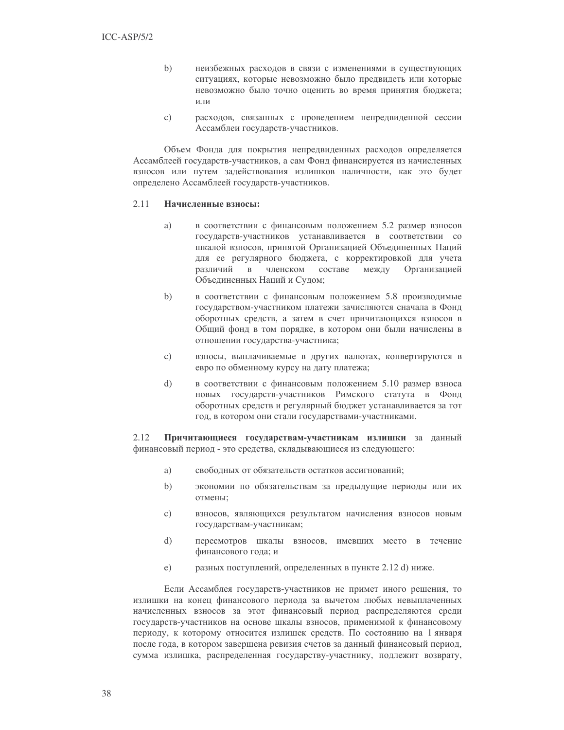- $b)$ неизбежных расходов в связи с изменениями в существующих ситуациях, которые невозможно было предвидеть или которые невозможно было точно оценить во время принятия бюджета; ИЛИ
- расходов, связанных с проведением непредвиденной сессии  $c)$ Ассамблеи государств-участников.

Объем Фонда для покрытия непредвиденных расходов определяется Ассамблеей государств-участников, а сам Фонд финансируется из начисленных взносов или путем задействования излишков наличности, как это будет определено Ассамблеей государств-участников.

#### 2.11 Начисленные взносы:

- a) в соответствии с финансовым положением 5.2 размер взносов государств-участников устанавливается в соответствии со шкалой взносов, принятой Организацией Объединенных Наций для ее регулярного бюджета, с корректировкой для учета различий  $\,$  B членском составе между Организацией Объединенных Наций и Судом;
- $b)$ в соответствии с финансовым положением 5.8 производимые государством-участником платежи зачисляются сначала в Фонд оборотных средств, а затем в счет причитающихся взносов в Общий фонд в том порядке, в котором они были начислены в отношении государства-участника;
- взносы, выплачиваемые в других валютах, конвертируются в  $\mathcal{C}$ ) евро по обменному курсу на дату платежа;
- $\mathbf{d}$ в соответствии с финансовым положением 5.10 размер взноса новых государств-участников Римского статута в Фонд оборотных средств и регулярный бюджет устанавливается за тот год, в котором они стали государствами-участниками.

2.12 Причитающиеся государствам-участникам излишки за данный финансовый период - это средства, складывающиеся из следующего:

- a) своболных от обязательств остатков ассигнований:
- $b)$ экономии по обязательствам за предыдущие периоды или их отмены;
- взносов, являющихся результатом начисления взносов новым  $\mathcal{C}$ ) государствам-участникам;
- $\mathbf{d}$ пересмотров шкалы взносов, имевших место в течение финансового года; и
- разных поступлений, определенных в пункте 2.12 d) ниже.  $e)$

Если Ассамблея государств-участников не примет иного решения, то излишки на конец финансового периода за вычетом любых невыплаченных начисленных взносов за этот финансовый период распределяются среди государств-участников на основе шкалы взносов, применимой к финансовому периоду, к которому относится излишек средств. По состоянию на 1 января после года, в котором завершена ревизия счетов за данный финансовый период, сумма излишка, распределенная государству-участнику, подлежит возврату,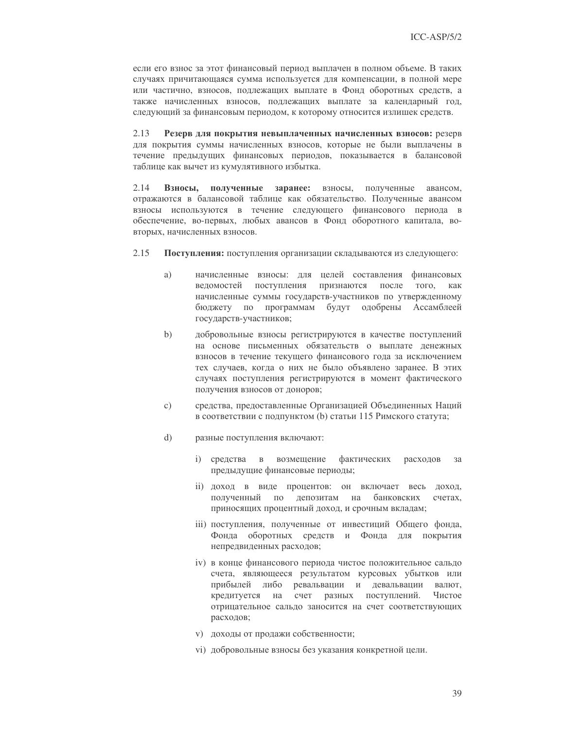если его взнос за этот финансовый период выплачен в полном объеме. В таких случаях причитающаяся сумма используется для компенсации, в полной мере или частично, взносов, подлежащих выплате в Фонд оборотных средств, а также начисленных взносов, подлежащих выплате за календарный год, следующий за финансовым периодом, к которому относится излишек средств.

2.13 Резерв для покрытия невыплаченных начисленных взносов: резерв для покрытия суммы начисленных взносов, которые не были выплачены в течение предыдущих финансовых периодов, показывается в балансовой таблице как вычет из кумулятивного избытка.

2.14 Взносы, полученные заранее: взносы, полученные авансом, отражаются в балансовой таблице как обязательство. Полученные авансом взносы используются в течение следующего финансового периода в обеспечение, во-первых, любых авансов в Фонд оборотного капитала, вовторых, начисленных взносов.

- 2.15 Поступления: поступления организации складываются из следующего:
	- начисленные взносы: для целей составления финансовых a) ведомостей поступления признаются после того, как начисленные суммы государств-участников по утвержденному бюджету по программам будут одобрены Ассамблеей государств-участников;
	- $b)$ добровольные взносы регистрируются в качестве поступлений на основе письменных обязательств о выплате денежных взносов в течение текущего финансового года за исключением тех случаев, когда о них не было объявлено заранее. В этих случаях поступления регистрируются в момент фактического получения взносов от доноров;
	- средства, предоставленные Организацией Объединенных Наций  $\mathbf{c})$ в соответствии с подпунктом (b) статьи 115 Римского статута;
	- $\mathbf{d}$ разные поступления включают:
		- *i*) средства фактических в возмещение расходов 32 предыдущие финансовые периоды;
		- іі) доход в виде процентов: он включает весь доход, полученный по депозитам на банковских счетах, приносящих процентный доход, и срочным вкладам;
		- ії) поступления, полученные от инвестиций Общего фонда, Фонда оборотных средств и Фонда для покрытия непредвиденных расходов;
		- iv) в конце финансового периода чистое положительное сальдо счета, являющееся результатом курсовых убытков или прибылей либо ревальвации и девальвации валют, кредитуется на счет разных поступлений. Чистое отрицательное сальдо заносится на счет соответствующих расходов;
		- v) доходы от продажи собственности;
		- vi) добровольные взносы без указания конкретной цели.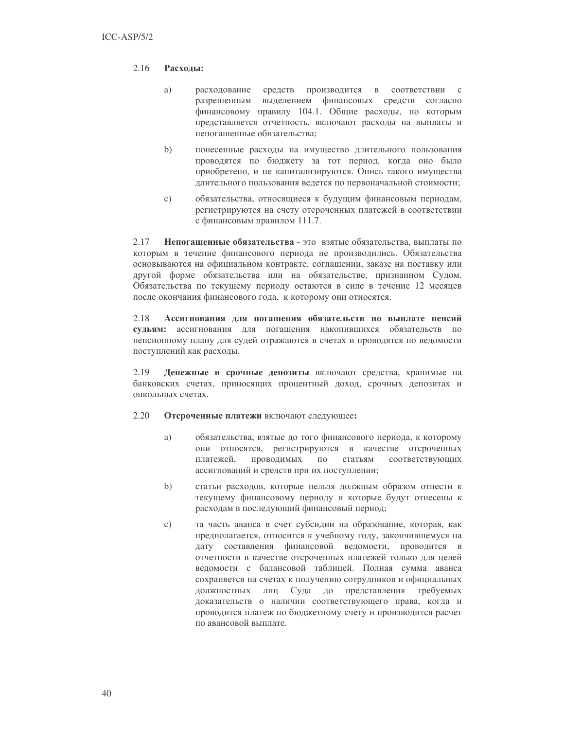#### $2.16$ Расхолы:

- a) расходование средств производится в соответствии с разрешенным выделением финансовых средств согласно финансовому правилу 104.1. Общие расходы, по которым представляется отчетность, включают расходы на выплаты и непогашенные обязательства;
- $b)$ понесенные расходы на имущество длительного пользования проводятся по бюджету за тот период, когда оно было приобретено, и не капитализируются. Опись такого имущества длительного пользования ведется по первоначальной стоимости;
- $\mathbf{c})$ обязательства, относящиеся к будущим финансовым периодам, регистрируются на счету отсроченных платежей в соответствии с финансовым правилом 111.7.

2.17 Непогашенные обязательства - это взятые обязательства, выплаты по которым в течение финансового периода не производились. Обязательства основываются на официальном контракте, соглашении, заказе на поставку или другой форме обязательства или на обязательстве, признанном Судом. Обязательства по текущему периоду остаются в силе в течение 12 месяцев после окончания финансового года, к которому они относятся.

2.18 Ассигнования лля погашения обязательств по выплате пенсий судьям: ассигнования для погашения накопившихся обязательств по пенсионному плану для судей отражаются в счетах и проводятся по ведомости поступлений как расходы.

 $2.19$ Денежные и срочные депозиты включают средства, хранимые на банковских счетах, приносящих процентный доход, срочных депозитах и онкольных счетах.

#### 2.20 Отсроченные платежи включают следующее:

- обязательства, взятые до того финансового периода, к которому a) они относятся, регистрируются в качестве отсроченных платежей, проводимых  $\Pi$ O статьям соответствующих ассигнований и средств при их поступлении;
- $b)$ статьи расходов, которые нельзя должным образом отнести к текущему финансовому периоду и которые будут отнесены к расходам в последующий финансовый период;
- $\mathcal{C}$ ) та часть аванса в счет субсидии на образование, которая, как предполагается, относится к учебному году, закончившемуся на дату составления финансовой ведомости, проводится в отчетности в качестве отсроченных платежей только для целей ведомости с балансовой таблицей. Полная сумма аванса сохраняется на счетах к получению сотрудников и официальных должностных лиц Суда до представления требуемых доказательств о наличии соответствующего права, когда и проводится платеж по бюджетному счету и производится расчет по авансовой выплате.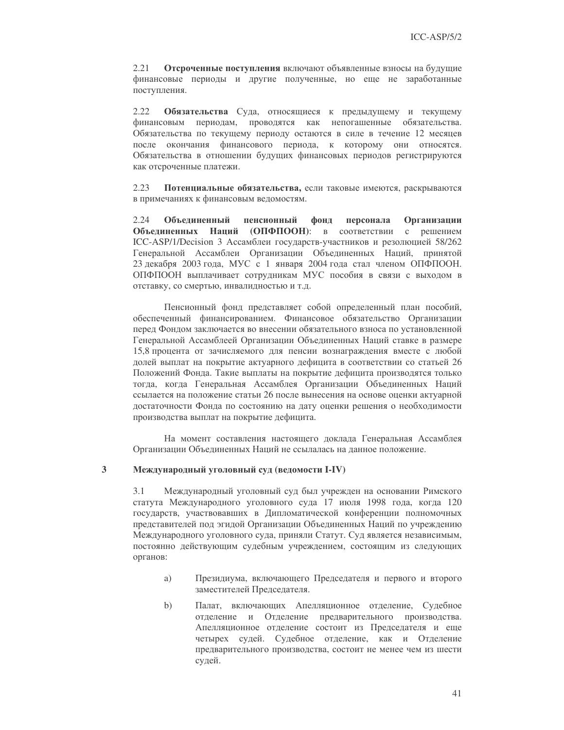$2.21$ Отсроченные поступления включают объявленные взносы на будущие финансовые периоды и другие полученные, но еще не заработанные поступления.

 $2.22$ Обязательства Суда, относящиеся к предыдущему и текущему финансовым периодам, проводятся как непогашенные обязательства. Обязательства по текущему периоду остаются в силе в течение 12 месяцев после окончания финансового периода, к которому они относятся. Обязательства в отношении будущих финансовых периодов регистрируются как отсроченные платежи.

2.23 Потенциальные обязательства, если таковые имеются, раскрываются в примечаниях к финансовым ведомостям.

 $2.24$ Объелиненный пенсионный фонд персонала Организации Объединенных Наций (ОПФПООН): в соответствии с решением ICC-ASP/1/Decision 3 Ассамблеи государств-участников и резолюцией 58/262 Генеральной Ассамблеи Организации Объединенных Наций, принятой 23 декабря 2003 года, МУС с 1 января 2004 года стал членом ОПФПООН. ОПФПООН выплачивает сотрудникам МУС пособия в связи с выходом в отставку, со смертью, инвалидностью и т.д.

Пенсионный фонд представляет собой определенный план пособий, обеспеченный финансированием. Финансовое обязательство Организации перед Фондом заключается во внесении обязательного взноса по установленной Генеральной Ассамблеей Организации Объединенных Наций ставке в размере 15,8 процента от зачисляемого для пенсии вознаграждения вместе с любой долей выплат на покрытие актуарного дефицита в соответствии со статьей 26 Положений Фонда. Такие выплаты на покрытие дефицита производятся только тогда, когда Генеральная Ассамблея Организации Объединенных Наций ссылается на положение статьи 26 после вынесения на основе оценки актуарной достаточности Фонда по состоянию на дату оценки решения о необходимости производства выплат на покрытие дефицита.

На момент составления настоящего доклада Генеральная Ассамблея Организации Объединенных Наций не ссылалась на данное положение.

#### $3<sup>1</sup>$ Международный уголовный суд (ведомости I-IV)

 $3.1$ Международный уголовный суд был учрежден на основании Римского статута Международного уголовного суда 17 июля 1998 года, когда 120 государств, участвовавших в Дипломатической конференции полномочных представителей под эгидой Организации Объединенных Наций по учреждению Международного уголовного суда, приняли Статут. Суд является независимым, постоянно действующим судебным учреждением, состоящим из следующих органов:

- Президиума, включающего Председателя и первого и второго a) заместителей Председателя.
- Палат, включающих Апелляционное отделение, Судебное  $\mathbf{b}$ отделение и Отделение предварительного производства. Апелляционное отделение состоит из Председателя и еще четырех судей. Судебное отделение, как и Отделение предварительного производства, состоит не менее чем из шести судей.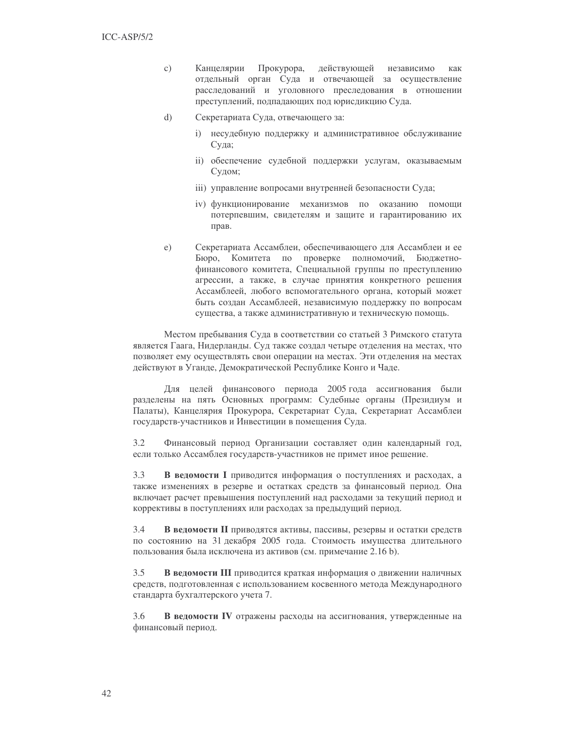- $\mathcal{C}$ ) Канцелярии Прокурора, действующей независимо как отдельный орган Суда и отвечающей за осуществление расследований и уголовного преследования в отношении преступлений, подпадающих под юрисдикцию Суда.
- $\mathbf{d}$ Секретариата Суда, отвечающего за:
	- і) несудебную поддержку и административное обслуживание Суда;
	- іі) обеспечение судебной поддержки услугам, оказываемым Судом;
	- ії) управление вопросами внутренней безопасности Суда;
	- iv) функционирование механизмов по оказанию помощи потерпевшим, свидетелям и защите и гарантированию их прав.
- $e)$ Секретариата Ассамблеи, обеспечивающего для Ассамблеи и ее Бюро, Комитета по проверке полномочий, Бюджетнофинансового комитета, Специальной группы по преступлению агрессии, а также, в случае принятия конкретного решения Ассамблеей, любого вспомогательного органа, который может быть создан Ассамблеей, независимую поддержку по вопросам существа, а также административную и техническую помощь.

Местом пребывания Суда в соответствии со статьей 3 Римского статута является Гаага, Нидерланды. Суд также создал четыре отделения на местах, что позволяет ему осуществлять свои операции на местах. Эти отделения на местах действуют в Уганде, Демократической Республике Конго и Чаде.

Для целей финансового периода 2005 года ассигнования были разделены на пять Основных программ: Судебные органы (Президиум и Палаты), Канцелярия Прокурора, Секретариат Суда, Секретариат Ассамблеи государств-участников и Инвестиции в помещения Суда.

 $3.2$ Финансовый период Организации составляет один календарный год, если только Ассамблея государств-участников не примет иное решение.

 $3.3$ В ведомости I приводится информация о поступлениях и расходах, а также изменениях в резерве и остатках средств за финансовый период. Она включает расчет превышения поступлений над расходами за текущий период и коррективы в поступлениях или расходах за предыдущий период.

 $3.4$ В ведомости II приводятся активы, пассивы, резервы и остатки средств по состоянию на 31 декабря 2005 года. Стоимость имущества длительного пользования была исключена из активов (см. примечание 2.16 b).

 $3.5$ В ведомости III приводится краткая информация о движении наличных средств, подготовленная с использованием косвенного метода Международного стандарта бухгалтерского учета 7.

 $3.6$ В ведомости IV отражены расходы на ассигнования, утвержденные на финансовый период.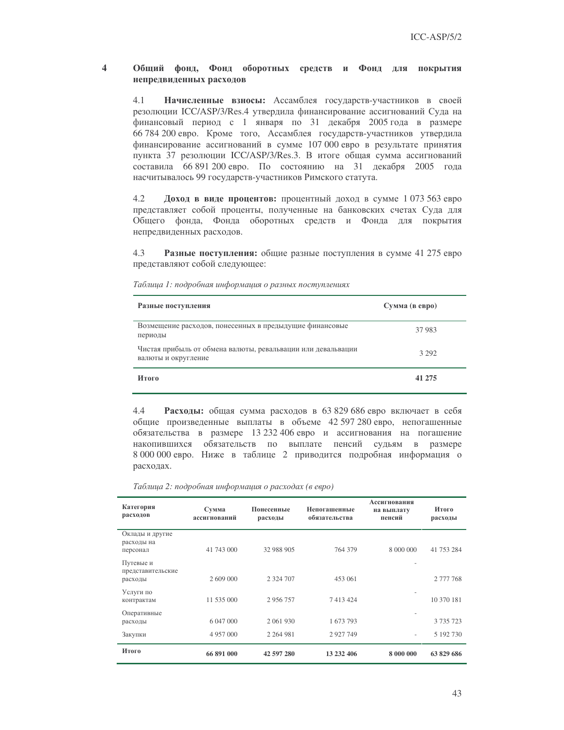#### 4 Общий фонд, Фонд оборотных средств и Фонд для покрытия непредвиденных расходов

4.1 **Начисленные взносы:** Ассамблея государств-участников в своей резолюции ICC/ASP/3/Res.4 утвердила финансирование ассигнований Суда на финансовый период с 1 января по 31 декабря 2005 года в размере 66 784 200 евро. Кроме того, Ассамблея государств-участников утвердила финансирование ассигнований в сумме 107 000 евро в результате принятия пункта 37 резолюции ICC/ASP/3/Res.3. В итоге общая сумма ассигнований составила 66 891 200 евро. По состоянию на 31 декабря 2005 года насчитывалось 99 государств-участников Римского статута.

4.2 Доход в виде процентов: процентный доход в сумме 1 073 563 евро представляет собой проценты, полученные на банковских счетах Суда для Общего фонда, Фонда оборотных средств и Фонда для покрытия непредвиденных расходов.

4.3 Разные поступления: общие разные поступления в сумме 41 275 евро представляют собой следующее:

| Разные поступления                                                                  | Сумма (в евро) |  |
|-------------------------------------------------------------------------------------|----------------|--|
| Возмещение расходов, понесенных в предыдущие финансовые<br>периоды                  | 37 983         |  |
| Чистая прибыль от обмена валюты, ревальвации или девальвации<br>валюты и округление | 3 2 9 2        |  |
| Итого                                                                               | 41 275         |  |

Таблица 1: подробная информация о разных поступлениях

4.4 **Расходы:** общая сумма расходов в 63 829 686 евро включает в себя общие произведенные выплаты в объеме 42 597 280 евро, непогашенные обязательства в размере 13 232 406 евро и ассигнования на погашение накопившихся обязательств по выплате пенсий судьям в размере 8 000 000 евро. Ниже в таблице 2 приводится подробная информация о расходах.

Таблица 2: подробная информация о расходах (в евро)

| Категория<br>расходов                     | Сумма<br>ассигнований | Понесенные<br>расходы | Непогашенные<br>обязательства | Ассигнования<br>на выплату<br>пенсий | Итого<br>расходы |
|-------------------------------------------|-----------------------|-----------------------|-------------------------------|--------------------------------------|------------------|
| Оклады и другие<br>расходы на<br>персонал | 41 743 000            | 32 988 905            | 764 379                       | 8 000 000                            | 41 753 284       |
| Путевые и<br>представительские<br>расходы | 2 609 000             | 2 3 2 4 7 0 7         | 453 061                       |                                      | 2 777 768        |
| Услуги по<br>контрактам                   | 11 535 000            | 2956757               | 7 413 424                     |                                      | 10 370 181       |
| Оперативные<br>расходы                    | 6 047 000             | 2 061 930             | 1673793                       |                                      | 3 7 3 5 7 2 3    |
| Закупки                                   | 4 9 5 7 0 0 0         | 2 2 6 4 9 8 1         | 2927749                       | $\overline{\phantom{a}}$             | 5 192 730        |
| Итого                                     | 66 891 000            | 42 597 280            | 13 232 406                    | 8 000 000                            | 63 829 686       |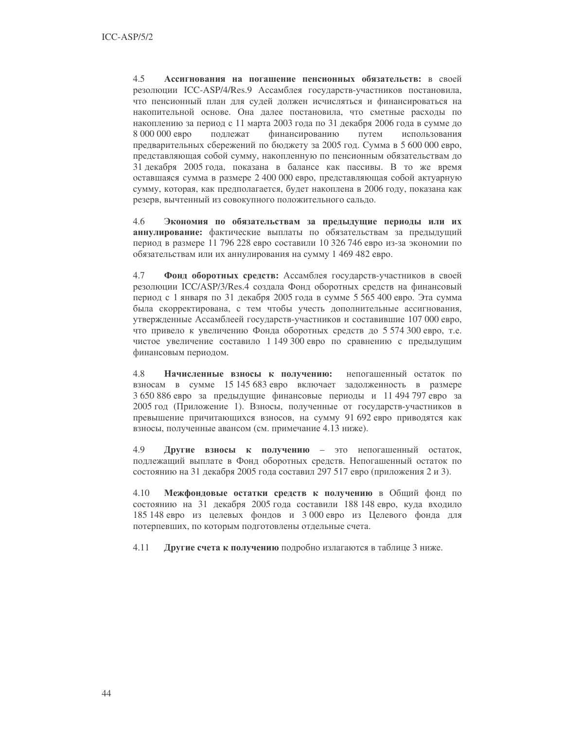4.5 Ассигнования на погашение пенсионных обязательств: в своей резолюции ICC-ASP/4/Res.9 Ассамблея государств-участников постановила, что пенсионный план для судей должен исчисляться и финансироваться на накопительной основе. Она далее постановила, что сметные расходы по накоплению за период с 11 марта 2003 года по 31 декабря 2006 года в сумме до 8 000 000 евро вро подлежа т финансированию путе м использования предварительных сбережений по бюджету за 2005 год. Сумма в 5 600 000 евро, представляющая собой сумму, накопленную по пенсионным обязательствам до 31 декабря 2005 года, показана в балансе как пассивы. В то же время оставшаяся сумма в размере 2 400 000 евро, представляющая собой актуарную сумму, которая, как предполагается, будет накоплена в 2006 году, показана как резерв, вычтенный из совокупного положительного сальдо.

4.6 – Экономия по обязательствам за предыдущие периоды или их аннулирование: фактические выплаты по обязательствам за предыдущий период в размере 11 796 228 евро составили 10 326 746 евро из-за экономии по обязательствам или их аннулирования на сумму 1 469 482 евро.

4.7 **Фонд оборотных средств:** Ассамблея государств-участников в своей резолюции ICC/ASP/3/Res.4 создала Фонд оборотных средств на финансовый период с 1 января по 31 декабря 2005 года в сумме 5 565 400 евро. Эта сумма была скорректирована, с тем чтобы учесть дополнительные ассигнования, утвержденные Ассамблеей государств-участников и составившие 107 000 евро, что привело к увеличению Фонда оборотных средств до 5 574 300 евро, т.е. чистое увеличение составило 1 149 300 евро по сравнению с предыдущим финансовым периодом.

4.8 Начисленные взносы к получению: не погашенный остаток по взносам в сумме 15 145 683 евро включает задолженность в размере 3 650 886 евро за предыдущие финансовые периоды и 11 494 797 евро за 2005 год (Приложение 1). Взносы, полученные от государств-участников в превышение причитающихся взносов, на сумму 91 692 евро приводятся как взносы, полученные авансом (см. примечание 4.13 ниже).

4.9 Другие взносы к получению - это непогашенный остаток, подлежащий выплате в Фонд оборотных средств. Непогашенный остаток по состоянию на 31 декабря 2005 года составил 297 517 евро (приложения 2 и 3).

4.10 жфондовые остатки средств к получению в Общий фонд по состоянию на 31 декабря 2005 года составили 188 148 евро, куда входило 185 148 евро из целевых фондов и 3 000 евро из Целевого фонда для потерпевших, по которым подготовлены отдельные счета.

4.11 Другие счета к получению подробно излагаются в таблице 3 ниже.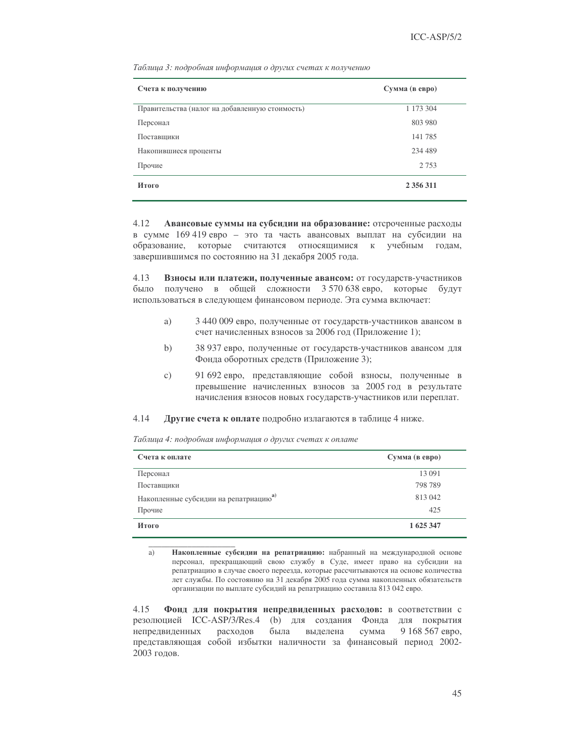Таблица 3: подробная информация о других счетах к получению

| Счета к получению                              | Сумма (в евро) |  |
|------------------------------------------------|----------------|--|
| Правительства (налог на добавленную стоимость) | 1 173 304      |  |
| Персонал                                       | 803 980        |  |
| Поставщики                                     | 141 785        |  |
| Накопившиеся проценты                          | 234 489        |  |
| Прочие                                         | 2 7 5 3        |  |
| Итого                                          | 2 3 5 6 3 1 1  |  |

4.12 Авансовые суммы на субсидии на образование: отсроченные расходы в сумме 169 419 евро – это та часть авансовых выплат на субсидии на образование, которые считаются относящимися к учебным года годам, завершившимся по состоянию на 31 декабря 2005 года.

4.13 Взносы или платежи, полученные авансом: от государств-участников было получено в общей сложности 3 570 638 евро, которые будут использоваться в следующем финансовом периоде. Эта сумма включает:

- а) З 440 009 евро, полученные от государств-участников авансом в счет начисленных взносов за 2006 год (Приложение 1);
- b) 38 937 евро, полученные от государств-участников авансом для Фонда оборотных средств (Приложение 3);
- с) 91 692 евро, представляющие собой взносы, полученные в превышение начисленных взносов за 2005 год в результате начисления взносов новых государств-участников или переплат.

4.14 — Другие счета к оплате подробно излагаются в таблице 4 ниже.

| Счета к оплате                                    | Сумма (в евро) |  |
|---------------------------------------------------|----------------|--|
| Персонал                                          | 13 091         |  |
| Поставщики                                        | 798 789        |  |
| Накопленные субсидии на репатриацию <sup>а)</sup> | 813042         |  |
| Прочие                                            | 425            |  |
| Итого                                             | 1 625 347      |  |

Таблица 4: подробная информация о других счетах к оплате

\_\_\_\_\_\_\_\_\_\_\_\_\_\_\_\_\_\_\_\_

а) **Накопленные субсидии на репатриацию:** набранный на международной основе персонал, прекращающий свою службу в Суде, имеет право на субсидии на репатриацию в случае своего переезда, которые рассчитываются на основе количества лет службы. По состоянию на 31 декабря 2005 года сумма накопленных обязательств организации по выплате субсидий на репатриацию составила 813 042 евро.

4.15 **Фонд для покрытия непредвиденных расходов:** в соответствии с резолюцией ICC-ASP/3/Res.4 (b) для создания Фонда для покрытия непредвиденных ра расходов была выделена сумма 9 168 567 евро, представляющая собой избытки наличности за финансовый период 2002-2003 годов.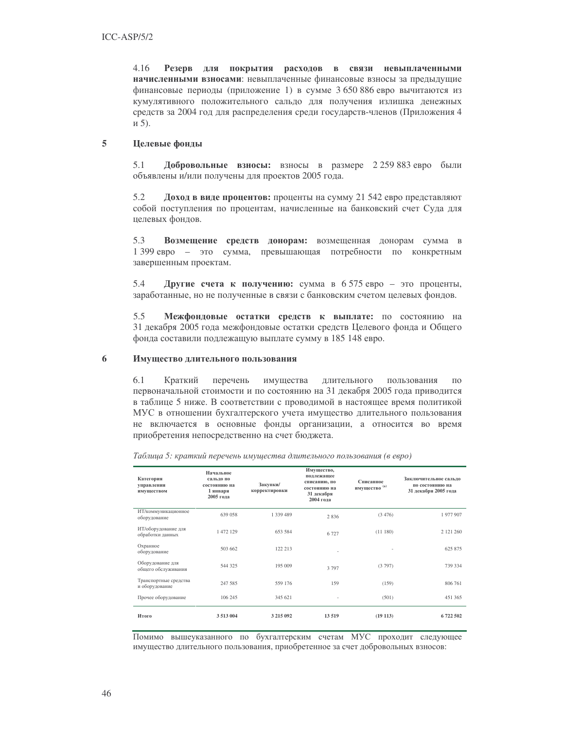$4.16$ зерв для покрытия расходов в связи невыплаченными начисленными взносами: невыплаченные финансовые взносы за предыдущие финансовые периоды (приложение 1) в сумме 3 650 886 евро вычитаются из кумулятивного положительного сальдо для получения излишка денежных средств за 2004 год для распределения среди государств-членов (Приложения 4 и 5).

### 5 **Пелевые фонды**

5.1 Добровольные взносы: взносы в размере 2 259 883 евро были объявлены и/или получены для проектов 2005 года.

5.2 Доход в виде процентов: проценты на сумму 21 542 евро представляют собой поступления по процентам, начисленные на банковский счет Суда для целевых фондов.

5.3 Возмещение средств донорам: возмещенная донорам сумма в 1 399 евро - это сумма, превышающая потребности по конкретным завершенным проектам.

5.4 **Другие счета к получению:** сумма в 6575 евро – это проценты, заработанные, но не полученные в связи с банковским счетом целевых фондов.

5.5 Межфондовые остатки средств к выплате: по состоянию на 31 декабря 2005 года межфондовые остатки средств Целевого фонда и Общего фонда составили подлежащую выплате сумму в 185 148 евро.

#### 6 Имущество длительного пользования

6.1 Краткий пе рече нь имущества ллительного льного пользования по первоначальной стоимости и по состоянию на 31 декабря 2005 года приводится в таблице 5 ниже. В соответствии с проводимой в настоящее время политикой МУС в отношении бухгалтерского учета имущество длительного пользования не включается в основные фонды организации, а относится во время приобретения непосредственно на счет бюджета.

| Категория<br>управления<br>имуществом   | Начальное<br>сальдо по<br>состоянию на<br>1 января<br>2005 года | Закупки/<br>корректировки | Имущество,<br>подлежащее<br>списанию, по<br>состоянию на<br>31 декабря<br>2004 года | Списанное<br>имущество <sup>(а)</sup> | Заключительное сальдо<br>по состоянию на<br>31 декабря 2005 года |
|-----------------------------------------|-----------------------------------------------------------------|---------------------------|-------------------------------------------------------------------------------------|---------------------------------------|------------------------------------------------------------------|
| ИТ/коммуникационное<br>оборудование     | 639 058                                                         | 1 339 489                 | 2836                                                                                | (3476)                                | 1977907                                                          |
| ИТ/оборудование для<br>обработки данных | 1472129                                                         | 653 584                   | 6727                                                                                | (11180)                               | 2 121 260                                                        |
| Охранное<br>оборудование                | 503 662                                                         | 122 213                   |                                                                                     |                                       | 625 875                                                          |
| Оборудование для<br>общего обслуживания | 544 325                                                         | 195 009                   | 3797                                                                                | (3797)                                | 739 334                                                          |
| Транспортные средства<br>и оборудование | 247 585                                                         | 559 176                   | 159                                                                                 | (159)                                 | 806 761                                                          |
| Прочее оборудование                     | 106 245                                                         | 345 621                   | $\overline{\phantom{a}}$                                                            | (501)                                 | 451 365                                                          |
| Итого                                   | 3513004                                                         | 3 215 092                 | 13519                                                                               | (19113)                               | 6722502                                                          |

Таблица 5: краткий перечень имущества длительного пользования (в евро)

Помимо вышеуказанного по бухгалтерским счетам МУС проходит следующее имущество длительного пользования, приобретенное за счет добровольных взносов: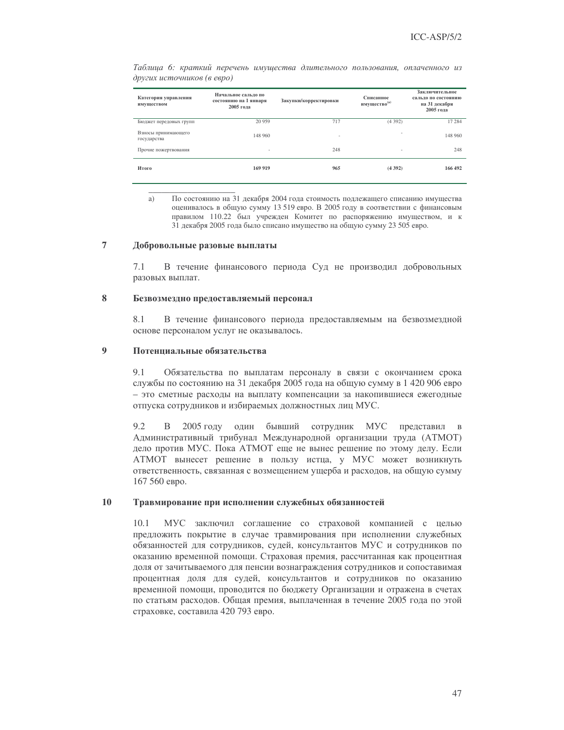| Категория управления<br>имуществом | Начальное сальдо по<br>состоянию на 1 января<br>2005 года | Закупки/корректировки | Списанное<br>имущество <sup>(а)</sup> | Заключительное<br>сальдо по состоянию<br>на 31 декабря<br>2005 года |
|------------------------------------|-----------------------------------------------------------|-----------------------|---------------------------------------|---------------------------------------------------------------------|
| Бюджет передовых групп             | 20 959                                                    | 717                   | (4392)                                | 17 284                                                              |
| Взносы принимающего<br>государства | 148 960                                                   | ۰                     | $\overline{\phantom{a}}$              | 148 960                                                             |
| Прочие пожертвования               | ٠                                                         | 248                   | -                                     | 248                                                                 |
| Итого                              | 169 919                                                   | 965                   | (4392)                                | 166 492                                                             |

Таблица 6: краткий перечень имущества длительного пользования, оплаченного из других источников (в евро)

а) По состоянию на 31 декабря 2004 года стоимость подлежащего списанию имущества оценивалось в общую сумму 13 519 евро. В 2005 году в соответствии с финансовым правилом 110.22 был учрежден Комитет по распоряжению имуществом, и к 31 декабря 2005 года было списано имущество на общую сумму 23 505 евро.

#### 7 Иобровольные разовые выплаты

\_\_\_\_\_\_\_\_\_\_\_\_\_\_\_\_\_\_\_\_

7.1 В течение финансового периода Суд не производил добровольных разовых выплат.

#### 8 **•• Безвозмездно предоставляемый персонал**

8.1 В течение финансового периода предоставляемым на безвозмездной основе персоналом услуг не оказывалось.

#### 9 Потенциальные обязательства

9.1 Обязательства по выплатам персоналу в связи с окончанием срока службы по состоянию на 31 декабря 2005 года на общую сумму в 1 420 906 евро - это сметные расходы на выплату компенсации за накопившиеся ежегодные отпуска сотрудников и избираемых должностных лиц МУС.

9.2 В 2005 году один бывший сотрудник МУС представил в Административный трибунал Международной организации труда (АТМОТ) дело против МУС. Пока АТМОТ еще не вынес решение по этому делу. Если АТМОТ вынесет решение в пользу истца, у МУС может возникнуть ответственность, связанная с возмещением ущерба и расходов, на общую сумму 167 560 евро.

#### 10 Травмирование при исполнении служебных обязанностей

10.1 МУС заключил соглашение со страховой компанией с целью предложить покрытие в случае травмирования при исполнении служебных обязанностей для сотрудников, судей, консультантов МУС и сотрудников по оказанию временной помощи. Страховая премия, рассчитанная как процентная доля от зачитываемого для пенсии вознаграждения сотрудников и сопоставимая процентная доля для судей, консультантов и сотрудников по оказанию временной помощи, проводится по бюджету Организации и отражена в счетах по статьям расходов. Общая премия, выплаченная в течение 2005 года по этой страховке, составила 420 793 евро.